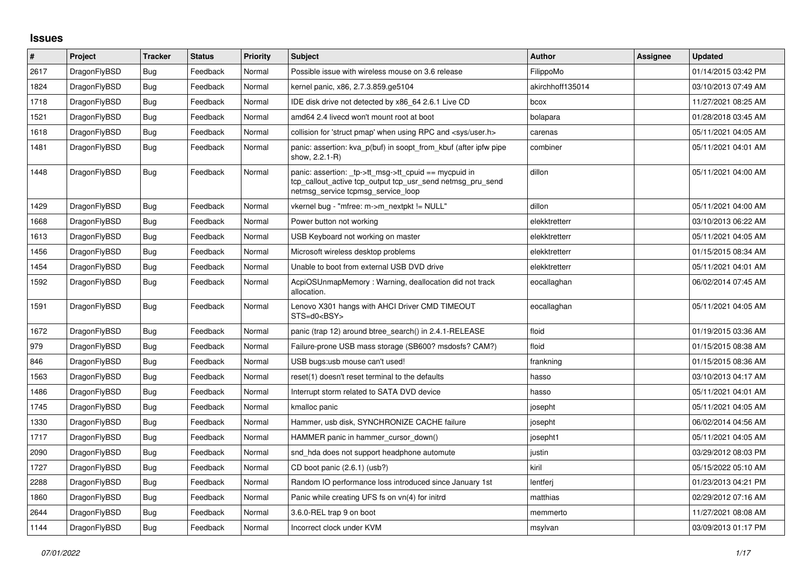## **Issues**

| #    | Project      | <b>Tracker</b> | <b>Status</b> | <b>Priority</b> | <b>Subject</b>                                                                                                                                           | Author           | Assignee | <b>Updated</b>      |
|------|--------------|----------------|---------------|-----------------|----------------------------------------------------------------------------------------------------------------------------------------------------------|------------------|----------|---------------------|
| 2617 | DragonFlyBSD | <b>Bug</b>     | Feedback      | Normal          | Possible issue with wireless mouse on 3.6 release                                                                                                        | FilippoMo        |          | 01/14/2015 03:42 PM |
| 1824 | DragonFlyBSD | <b>Bug</b>     | Feedback      | Normal          | kernel panic, x86, 2.7.3.859.ge5104                                                                                                                      | akirchhoff135014 |          | 03/10/2013 07:49 AM |
| 1718 | DragonFlyBSD | Bug            | Feedback      | Normal          | IDE disk drive not detected by x86 64 2.6.1 Live CD                                                                                                      | bcox             |          | 11/27/2021 08:25 AM |
| 1521 | DragonFlyBSD | Bug            | Feedback      | Normal          | amd64 2.4 livecd won't mount root at boot                                                                                                                | bolapara         |          | 01/28/2018 03:45 AM |
| 1618 | DragonFlyBSD | <b>Bug</b>     | Feedback      | Normal          | collision for 'struct pmap' when using RPC and <sys user.h=""></sys>                                                                                     | carenas          |          | 05/11/2021 04:05 AM |
| 1481 | DragonFlyBSD | Bug            | Feedback      | Normal          | panic: assertion: kva p(buf) in soopt from kbuf (after ipfw pipe<br>show, 2.2.1-R)                                                                       | combiner         |          | 05/11/2021 04:01 AM |
| 1448 | DragonFlyBSD | <b>Bug</b>     | Feedback      | Normal          | panic: assertion: tp->tt_msg->tt_cpuid == mycpuid in<br>tcp callout active tcp output tcp usr send netmsg pru send<br>netmsg service tcpmsg service loop | dillon           |          | 05/11/2021 04:00 AM |
| 1429 | DragonFlyBSD | Bug            | Feedback      | Normal          | vkernel bug - "mfree: m->m nextpkt != NULL"                                                                                                              | dillon           |          | 05/11/2021 04:00 AM |
| 1668 | DragonFlyBSD | Bug            | Feedback      | Normal          | Power button not working                                                                                                                                 | elekktretterr    |          | 03/10/2013 06:22 AM |
| 1613 | DragonFlyBSD | <b>Bug</b>     | Feedback      | Normal          | USB Keyboard not working on master                                                                                                                       | elekktretterr    |          | 05/11/2021 04:05 AM |
| 1456 | DragonFlyBSD | Bug            | Feedback      | Normal          | Microsoft wireless desktop problems                                                                                                                      | elekktretterr    |          | 01/15/2015 08:34 AM |
| 1454 | DragonFlyBSD | Bug            | Feedback      | Normal          | Unable to boot from external USB DVD drive                                                                                                               | elekktretterr    |          | 05/11/2021 04:01 AM |
| 1592 | DragonFlyBSD | Bug            | Feedback      | Normal          | AcpiOSUnmapMemory: Warning, deallocation did not track<br>allocation.                                                                                    | eocallaghan      |          | 06/02/2014 07:45 AM |
| 1591 | DragonFlyBSD | Bug            | Feedback      | Normal          | Lenovo X301 hangs with AHCI Driver CMD TIMEOUT<br>STS=d0 <bsy></bsy>                                                                                     | eocallaghan      |          | 05/11/2021 04:05 AM |
| 1672 | DragonFlyBSD | Bug            | Feedback      | Normal          | panic (trap 12) around btree search() in 2.4.1-RELEASE                                                                                                   | floid            |          | 01/19/2015 03:36 AM |
| 979  | DragonFlyBSD | Bug            | Feedback      | Normal          | Failure-prone USB mass storage (SB600? msdosfs? CAM?)                                                                                                    | floid            |          | 01/15/2015 08:38 AM |
| 846  | DragonFlyBSD | <b>Bug</b>     | Feedback      | Normal          | USB bugs:usb mouse can't used!                                                                                                                           | frankning        |          | 01/15/2015 08:36 AM |
| 1563 | DragonFlyBSD | <b>Bug</b>     | Feedback      | Normal          | reset(1) doesn't reset terminal to the defaults                                                                                                          | hasso            |          | 03/10/2013 04:17 AM |
| 1486 | DragonFlyBSD | Bug            | Feedback      | Normal          | Interrupt storm related to SATA DVD device                                                                                                               | hasso            |          | 05/11/2021 04:01 AM |
| 1745 | DragonFlyBSD | Bug            | Feedback      | Normal          | kmalloc panic                                                                                                                                            | josepht          |          | 05/11/2021 04:05 AM |
| 1330 | DragonFlyBSD | Bug            | Feedback      | Normal          | Hammer, usb disk, SYNCHRONIZE CACHE failure                                                                                                              | josepht          |          | 06/02/2014 04:56 AM |
| 1717 | DragonFlyBSD | Bug            | Feedback      | Normal          | HAMMER panic in hammer_cursor_down()                                                                                                                     | josepht1         |          | 05/11/2021 04:05 AM |
| 2090 | DragonFlyBSD | Bug            | Feedback      | Normal          | snd hda does not support headphone automute                                                                                                              | justin           |          | 03/29/2012 08:03 PM |
| 1727 | DragonFlyBSD | <b>Bug</b>     | Feedback      | Normal          | CD boot panic (2.6.1) (usb?)                                                                                                                             | kiril            |          | 05/15/2022 05:10 AM |
| 2288 | DragonFlyBSD | Bug            | Feedback      | Normal          | Random IO performance loss introduced since January 1st                                                                                                  | lentferj         |          | 01/23/2013 04:21 PM |
| 1860 | DragonFlyBSD | Bug            | Feedback      | Normal          | Panic while creating UFS fs on vn(4) for initrd                                                                                                          | matthias         |          | 02/29/2012 07:16 AM |
| 2644 | DragonFlyBSD | <b>Bug</b>     | Feedback      | Normal          | 3.6.0-REL trap 9 on boot                                                                                                                                 | memmerto         |          | 11/27/2021 08:08 AM |
| 1144 | DragonFlyBSD | <b>Bug</b>     | Feedback      | Normal          | Incorrect clock under KVM                                                                                                                                | msylvan          |          | 03/09/2013 01:17 PM |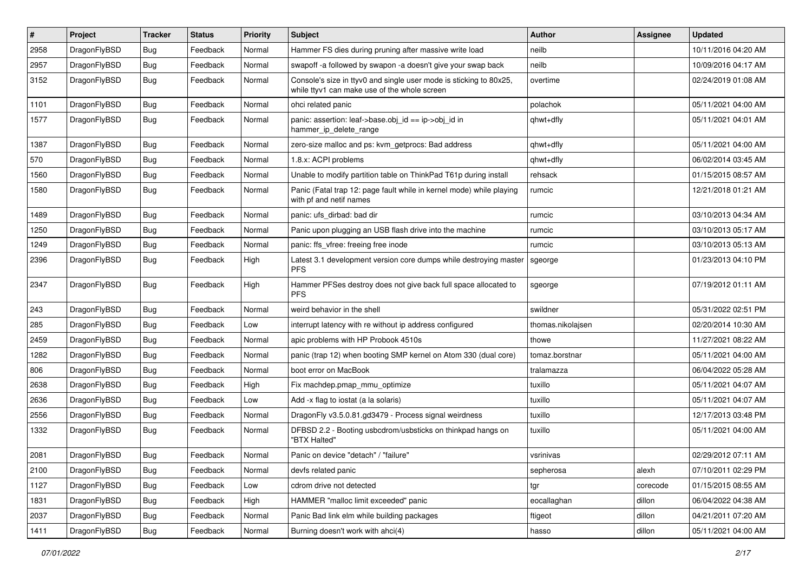| $\pmb{\#}$ | Project      | <b>Tracker</b> | <b>Status</b> | <b>Priority</b> | Subject                                                                                                            | <b>Author</b>     | Assignee | <b>Updated</b>      |
|------------|--------------|----------------|---------------|-----------------|--------------------------------------------------------------------------------------------------------------------|-------------------|----------|---------------------|
| 2958       | DragonFlyBSD | Bug            | Feedback      | Normal          | Hammer FS dies during pruning after massive write load                                                             | neilb             |          | 10/11/2016 04:20 AM |
| 2957       | DragonFlyBSD | Bug            | Feedback      | Normal          | swapoff -a followed by swapon -a doesn't give your swap back                                                       | neilb             |          | 10/09/2016 04:17 AM |
| 3152       | DragonFlyBSD | Bug            | Feedback      | Normal          | Console's size in ttyv0 and single user mode is sticking to 80x25,<br>while ttyv1 can make use of the whole screen | overtime          |          | 02/24/2019 01:08 AM |
| 1101       | DragonFlyBSD | Bug            | Feedback      | Normal          | ohci related panic                                                                                                 | polachok          |          | 05/11/2021 04:00 AM |
| 1577       | DragonFlyBSD | Bug            | Feedback      | Normal          | panic: assertion: leaf->base.obj_id == ip->obj_id in<br>hammer_ip_delete_range                                     | qhwt+dfly         |          | 05/11/2021 04:01 AM |
| 1387       | DragonFlyBSD | <b>Bug</b>     | Feedback      | Normal          | zero-size malloc and ps: kvm_getprocs: Bad address                                                                 | qhwt+dfly         |          | 05/11/2021 04:00 AM |
| 570        | DragonFlyBSD | Bug            | Feedback      | Normal          | 1.8.x: ACPI problems                                                                                               | qhwt+dfly         |          | 06/02/2014 03:45 AM |
| 1560       | DragonFlyBSD | Bug            | Feedback      | Normal          | Unable to modify partition table on ThinkPad T61p during install                                                   | rehsack           |          | 01/15/2015 08:57 AM |
| 1580       | DragonFlyBSD | Bug            | Feedback      | Normal          | Panic (Fatal trap 12: page fault while in kernel mode) while playing<br>with pf and netif names                    | rumcic            |          | 12/21/2018 01:21 AM |
| 1489       | DragonFlyBSD | Bug            | Feedback      | Normal          | panic: ufs_dirbad: bad dir                                                                                         | rumcic            |          | 03/10/2013 04:34 AM |
| 1250       | DragonFlyBSD | <b>Bug</b>     | Feedback      | Normal          | Panic upon plugging an USB flash drive into the machine                                                            | rumcic            |          | 03/10/2013 05:17 AM |
| 1249       | DragonFlyBSD | Bug            | Feedback      | Normal          | panic: ffs vfree: freeing free inode                                                                               | rumcic            |          | 03/10/2013 05:13 AM |
| 2396       | DragonFlyBSD | Bug            | Feedback      | High            | Latest 3.1 development version core dumps while destroying master<br><b>PFS</b>                                    | sgeorge           |          | 01/23/2013 04:10 PM |
| 2347       | DragonFlyBSD | Bug            | Feedback      | High            | Hammer PFSes destroy does not give back full space allocated to<br><b>PFS</b>                                      | sgeorge           |          | 07/19/2012 01:11 AM |
| 243        | DragonFlyBSD | Bug            | Feedback      | Normal          | weird behavior in the shell                                                                                        | swildner          |          | 05/31/2022 02:51 PM |
| 285        | DragonFlyBSD | Bug            | Feedback      | Low             | interrupt latency with re without ip address configured                                                            | thomas.nikolajsen |          | 02/20/2014 10:30 AM |
| 2459       | DragonFlyBSD | Bug            | Feedback      | Normal          | apic problems with HP Probook 4510s                                                                                | thowe             |          | 11/27/2021 08:22 AM |
| 1282       | DragonFlyBSD | Bug            | Feedback      | Normal          | panic (trap 12) when booting SMP kernel on Atom 330 (dual core)                                                    | tomaz.borstnar    |          | 05/11/2021 04:00 AM |
| 806        | DragonFlyBSD | <b>Bug</b>     | Feedback      | Normal          | boot error on MacBook                                                                                              | tralamazza        |          | 06/04/2022 05:28 AM |
| 2638       | DragonFlyBSD | Bug            | Feedback      | High            | Fix machdep.pmap_mmu_optimize                                                                                      | tuxillo           |          | 05/11/2021 04:07 AM |
| 2636       | DragonFlyBSD | Bug            | Feedback      | Low             | Add -x flag to iostat (a la solaris)                                                                               | tuxillo           |          | 05/11/2021 04:07 AM |
| 2556       | DragonFlyBSD | Bug            | Feedback      | Normal          | DragonFly v3.5.0.81.gd3479 - Process signal weirdness                                                              | tuxillo           |          | 12/17/2013 03:48 PM |
| 1332       | DragonFlyBSD | Bug            | Feedback      | Normal          | DFBSD 2.2 - Booting usbcdrom/usbsticks on thinkpad hangs on<br>"BTX Halted"                                        | tuxillo           |          | 05/11/2021 04:00 AM |
| 2081       | DragonFlyBSD | Bug            | Feedback      | Normal          | Panic on device "detach" / "failure"                                                                               | vsrinivas         |          | 02/29/2012 07:11 AM |
| 2100       | DragonFlyBSD | Bug            | Feedback      | Normal          | devfs related panic                                                                                                | sepherosa         | alexh    | 07/10/2011 02:29 PM |
| 1127       | DragonFlyBSD | Bug            | Feedback      | Low             | cdrom drive not detected                                                                                           | tgr               | corecode | 01/15/2015 08:55 AM |
| 1831       | DragonFlyBSD | <b>Bug</b>     | Feedback      | High            | HAMMER "malloc limit exceeded" panic                                                                               | eocallaghan       | dillon   | 06/04/2022 04:38 AM |
| 2037       | DragonFlyBSD | Bug            | Feedback      | Normal          | Panic Bad link elm while building packages                                                                         | ftigeot           | dillon   | 04/21/2011 07:20 AM |
| 1411       | DragonFlyBSD | Bug            | Feedback      | Normal          | Burning doesn't work with ahci(4)                                                                                  | hasso             | dillon   | 05/11/2021 04:00 AM |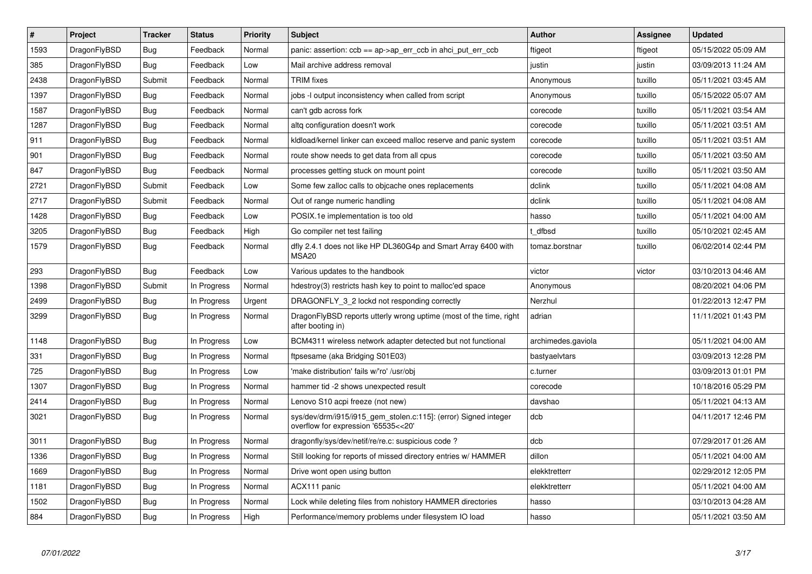| $\pmb{\#}$ | Project      | <b>Tracker</b> | <b>Status</b> | Priority | <b>Subject</b>                                                                                         | <b>Author</b>      | Assignee | <b>Updated</b>      |
|------------|--------------|----------------|---------------|----------|--------------------------------------------------------------------------------------------------------|--------------------|----------|---------------------|
| 1593       | DragonFlyBSD | <b>Bug</b>     | Feedback      | Normal   | panic: assertion: $ccb == ap \rightarrow ap$ err $ccb$ in ahci put err $ccb$                           | ftigeot            | ftigeot  | 05/15/2022 05:09 AM |
| 385        | DragonFlyBSD | Bug            | Feedback      | Low      | Mail archive address removal                                                                           | justin             | justin   | 03/09/2013 11:24 AM |
| 2438       | DragonFlyBSD | Submit         | Feedback      | Normal   | <b>TRIM</b> fixes                                                                                      | Anonymous          | tuxillo  | 05/11/2021 03:45 AM |
| 1397       | DragonFlyBSD | <b>Bug</b>     | Feedback      | Normal   | jobs -I output inconsistency when called from script                                                   | Anonymous          | tuxillo  | 05/15/2022 05:07 AM |
| 1587       | DragonFlyBSD | <b>Bug</b>     | Feedback      | Normal   | can't gdb across fork                                                                                  | corecode           | tuxillo  | 05/11/2021 03:54 AM |
| 1287       | DragonFlyBSD | <b>Bug</b>     | Feedback      | Normal   | altq configuration doesn't work                                                                        | corecode           | tuxillo  | 05/11/2021 03:51 AM |
| 911        | DragonFlyBSD | Bug            | Feedback      | Normal   | kldload/kernel linker can exceed malloc reserve and panic system                                       | corecode           | tuxillo  | 05/11/2021 03:51 AM |
| 901        | DragonFlyBSD | Bug            | Feedback      | Normal   | route show needs to get data from all cpus                                                             | corecode           | tuxillo  | 05/11/2021 03:50 AM |
| 847        | DragonFlyBSD | Bug            | Feedback      | Normal   | processes getting stuck on mount point                                                                 | corecode           | tuxillo  | 05/11/2021 03:50 AM |
| 2721       | DragonFlyBSD | Submit         | Feedback      | Low      | Some few zalloc calls to objcache ones replacements                                                    | dclink             | tuxillo  | 05/11/2021 04:08 AM |
| 2717       | DragonFlyBSD | Submit         | Feedback      | Normal   | Out of range numeric handling                                                                          | dclink             | tuxillo  | 05/11/2021 04:08 AM |
| 1428       | DragonFlyBSD | Bug            | Feedback      | Low      | POSIX.1e implementation is too old                                                                     | hasso              | tuxillo  | 05/11/2021 04:00 AM |
| 3205       | DragonFlyBSD | Bug            | Feedback      | High     | Go compiler net test failing                                                                           | t dfbsd            | tuxillo  | 05/10/2021 02:45 AM |
| 1579       | DragonFlyBSD | <b>Bug</b>     | Feedback      | Normal   | dfly 2.4.1 does not like HP DL360G4p and Smart Array 6400 with<br><b>MSA20</b>                         | tomaz.borstnar     | tuxillo  | 06/02/2014 02:44 PM |
| 293        | DragonFlyBSD | Bug            | Feedback      | Low      | Various updates to the handbook                                                                        | victor             | victor   | 03/10/2013 04:46 AM |
| 1398       | DragonFlyBSD | Submit         | In Progress   | Normal   | hdestroy(3) restricts hash key to point to malloc'ed space                                             | Anonymous          |          | 08/20/2021 04:06 PM |
| 2499       | DragonFlyBSD | Bug            | In Progress   | Urgent   | DRAGONFLY 3 2 lockd not responding correctly                                                           | Nerzhul            |          | 01/22/2013 12:47 PM |
| 3299       | DragonFlyBSD | Bug            | In Progress   | Normal   | DragonFlyBSD reports utterly wrong uptime (most of the time, right<br>after booting in)                | adrian             |          | 11/11/2021 01:43 PM |
| 1148       | DragonFlyBSD | <b>Bug</b>     | In Progress   | Low      | BCM4311 wireless network adapter detected but not functional                                           | archimedes.gaviola |          | 05/11/2021 04:00 AM |
| 331        | DragonFlyBSD | Bug            | In Progress   | Normal   | ftpsesame (aka Bridging S01E03)                                                                        | bastyaelvtars      |          | 03/09/2013 12:28 PM |
| 725        | DragonFlyBSD | Bug            | In Progress   | Low      | 'make distribution' fails w/'ro' /usr/obj                                                              | c.turner           |          | 03/09/2013 01:01 PM |
| 1307       | DragonFlyBSD | Bug            | In Progress   | Normal   | hammer tid -2 shows unexpected result                                                                  | corecode           |          | 10/18/2016 05:29 PM |
| 2414       | DragonFlyBSD | Bug            | In Progress   | Normal   | Lenovo S10 acpi freeze (not new)                                                                       | davshao            |          | 05/11/2021 04:13 AM |
| 3021       | DragonFlyBSD | <b>Bug</b>     | In Progress   | Normal   | sys/dev/drm/i915/i915_gem_stolen.c:115]: (error) Signed integer<br>overflow for expression '65535<<20' | dcb                |          | 04/11/2017 12:46 PM |
| 3011       | DragonFlyBSD | <b>Bug</b>     | In Progress   | Normal   | dragonfly/sys/dev/netif/re/re.c: suspicious code?                                                      | dcb                |          | 07/29/2017 01:26 AM |
| 1336       | DragonFlyBSD | Bug            | In Progress   | Normal   | Still looking for reports of missed directory entries w/ HAMMER                                        | dillon             |          | 05/11/2021 04:00 AM |
| 1669       | DragonFlyBSD | <b>Bug</b>     | In Progress   | Normal   | Drive wont open using button                                                                           | elekktretterr      |          | 02/29/2012 12:05 PM |
| 1181       | DragonFlyBSD | <b>Bug</b>     | In Progress   | Normal   | ACX111 panic                                                                                           | elekktretterr      |          | 05/11/2021 04:00 AM |
| 1502       | DragonFlyBSD | Bug            | In Progress   | Normal   | Lock while deleting files from nohistory HAMMER directories                                            | hasso              |          | 03/10/2013 04:28 AM |
| 884        | DragonFlyBSD | Bug            | In Progress   | High     | Performance/memory problems under filesystem IO load                                                   | hasso              |          | 05/11/2021 03:50 AM |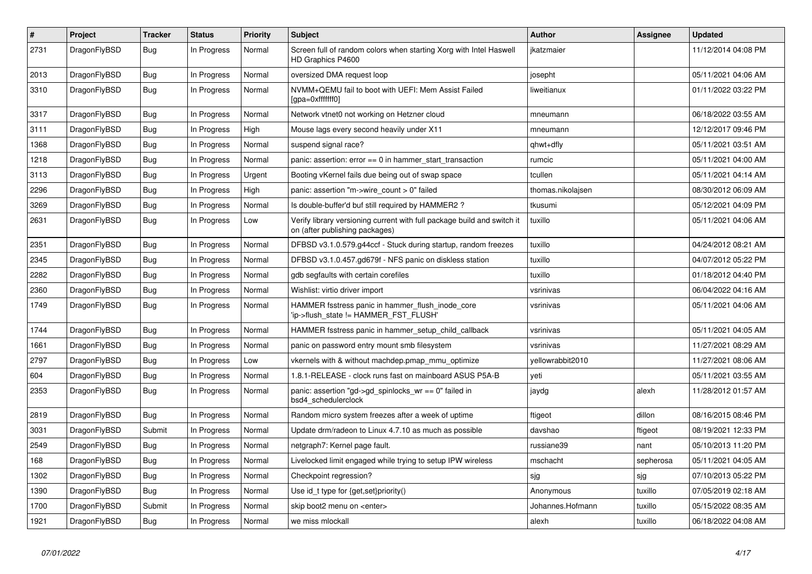| $\vert$ # | <b>Project</b> | <b>Tracker</b> | <b>Status</b> | <b>Priority</b> | <b>Subject</b>                                                                                            | <b>Author</b>     | Assignee  | <b>Updated</b>      |
|-----------|----------------|----------------|---------------|-----------------|-----------------------------------------------------------------------------------------------------------|-------------------|-----------|---------------------|
| 2731      | DragonFlyBSD   | Bug            | In Progress   | Normal          | Screen full of random colors when starting Xorg with Intel Haswell<br>HD Graphics P4600                   | jkatzmaier        |           | 11/12/2014 04:08 PM |
| 2013      | DragonFlyBSD   | <b>Bug</b>     | In Progress   | Normal          | oversized DMA request loop                                                                                | josepht           |           | 05/11/2021 04:06 AM |
| 3310      | DragonFlyBSD   | Bug            | In Progress   | Normal          | NVMM+QEMU fail to boot with UEFI: Mem Assist Failed<br>[gpa=0xfffffff0]                                   | liweitianux       |           | 01/11/2022 03:22 PM |
| 3317      | DragonFlyBSD   | <b>Bug</b>     | In Progress   | Normal          | Network vtnet0 not working on Hetzner cloud                                                               | mneumann          |           | 06/18/2022 03:55 AM |
| 3111      | DragonFlyBSD   | Bug            | In Progress   | High            | Mouse lags every second heavily under X11                                                                 | mneumann          |           | 12/12/2017 09:46 PM |
| 1368      | DragonFlyBSD   | Bug            | In Progress   | Normal          | suspend signal race?                                                                                      | qhwt+dfly         |           | 05/11/2021 03:51 AM |
| 1218      | DragonFlyBSD   | <b>Bug</b>     | In Progress   | Normal          | panic: assertion: $error == 0$ in hammer start transaction                                                | rumcic            |           | 05/11/2021 04:00 AM |
| 3113      | DragonFlyBSD   | Bug            | In Progress   | Urgent          | Booting vKernel fails due being out of swap space                                                         | tcullen           |           | 05/11/2021 04:14 AM |
| 2296      | DragonFlyBSD   | Bug            | In Progress   | High            | panic: assertion "m->wire count > $0$ " failed                                                            | thomas.nikolajsen |           | 08/30/2012 06:09 AM |
| 3269      | DragonFlyBSD   | Bug            | In Progress   | Normal          | Is double-buffer'd buf still required by HAMMER2 ?                                                        | tkusumi           |           | 05/12/2021 04:09 PM |
| 2631      | DragonFlyBSD   | <b>Bug</b>     | In Progress   | Low             | Verify library versioning current with full package build and switch it<br>on (after publishing packages) | tuxillo           |           | 05/11/2021 04:06 AM |
| 2351      | DragonFlyBSD   | Bug            | In Progress   | Normal          | DFBSD v3.1.0.579.g44ccf - Stuck during startup, random freezes                                            | tuxillo           |           | 04/24/2012 08:21 AM |
| 2345      | DragonFlyBSD   | <b>Bug</b>     | In Progress   | Normal          | DFBSD v3.1.0.457.gd679f - NFS panic on diskless station                                                   | tuxillo           |           | 04/07/2012 05:22 PM |
| 2282      | DragonFlyBSD   | Bug            | In Progress   | Normal          | gdb segfaults with certain corefiles                                                                      | tuxillo           |           | 01/18/2012 04:40 PM |
| 2360      | DragonFlyBSD   | <b>Bug</b>     | In Progress   | Normal          | Wishlist: virtio driver import                                                                            | vsrinivas         |           | 06/04/2022 04:16 AM |
| 1749      | DragonFlyBSD   | Bug            | In Progress   | Normal          | HAMMER fsstress panic in hammer flush inode core<br>ip->flush_state != HAMMER_FST_FLUSH'                  | vsrinivas         |           | 05/11/2021 04:06 AM |
| 1744      | DragonFlyBSD   | <b>Bug</b>     | In Progress   | Normal          | HAMMER fsstress panic in hammer_setup_child_callback                                                      | vsrinivas         |           | 05/11/2021 04:05 AM |
| 1661      | DragonFlyBSD   | Bug            | In Progress   | Normal          | panic on password entry mount smb filesystem                                                              | vsrinivas         |           | 11/27/2021 08:29 AM |
| 2797      | DragonFlyBSD   | Bug            | In Progress   | Low             | vkernels with & without machdep.pmap_mmu_optimize                                                         | yellowrabbit2010  |           | 11/27/2021 08:06 AM |
| 604       | DragonFlyBSD   | <b>Bug</b>     | In Progress   | Normal          | 1.8.1-RELEASE - clock runs fast on mainboard ASUS P5A-B                                                   | yeti              |           | 05/11/2021 03:55 AM |
| 2353      | DragonFlyBSD   | <b>Bug</b>     | In Progress   | Normal          | panic: assertion "gd->gd_spinlocks_wr == 0" failed in<br>bsd4 schedulerclock                              | jaydg             | alexh     | 11/28/2012 01:57 AM |
| 2819      | DragonFlyBSD   | Bug            | In Progress   | Normal          | Random micro system freezes after a week of uptime                                                        | ftigeot           | dillon    | 08/16/2015 08:46 PM |
| 3031      | DragonFlyBSD   | Submit         | In Progress   | Normal          | Update drm/radeon to Linux 4.7.10 as much as possible                                                     | davshao           | ftigeot   | 08/19/2021 12:33 PM |
| 2549      | DragonFlyBSD   | <b>Bug</b>     | In Progress   | Normal          | netgraph7: Kernel page fault.                                                                             | russiane39        | nant      | 05/10/2013 11:20 PM |
| 168       | DragonFlyBSD   | Bug            | In Progress   | Normal          | Livelocked limit engaged while trying to setup IPW wireless                                               | mschacht          | sepherosa | 05/11/2021 04:05 AM |
| 1302      | DragonFlyBSD   | <b>Bug</b>     | In Progress   | Normal          | Checkpoint regression?                                                                                    | sjg               | sjg       | 07/10/2013 05:22 PM |
| 1390      | DragonFlyBSD   | Bug            | In Progress   | Normal          | Use id_t type for {get,set}priority()                                                                     | Anonymous         | tuxillo   | 07/05/2019 02:18 AM |
| 1700      | DragonFlyBSD   | Submit         | In Progress   | Normal          | skip boot2 menu on <enter></enter>                                                                        | Johannes.Hofmann  | tuxillo   | 05/15/2022 08:35 AM |
| 1921      | DragonFlyBSD   | <b>Bug</b>     | In Progress   | Normal          | we miss mlockall                                                                                          | alexh             | tuxillo   | 06/18/2022 04:08 AM |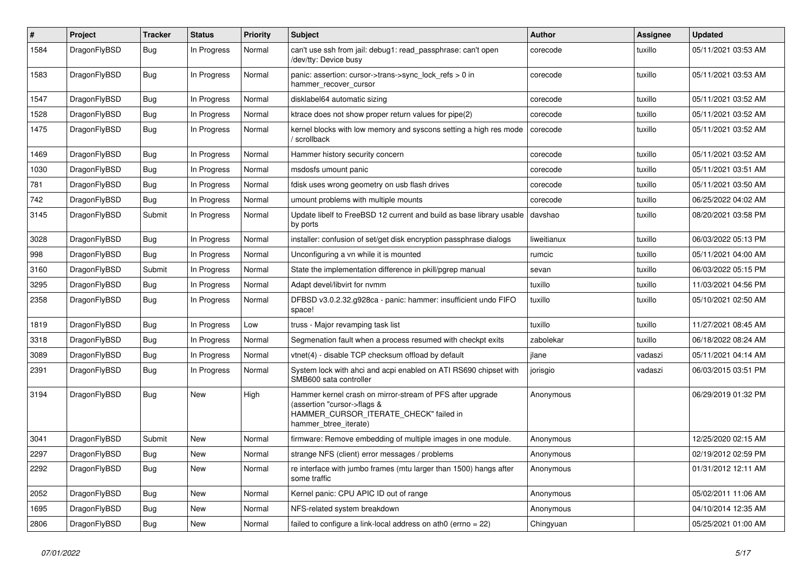| $\#$ | Project      | <b>Tracker</b> | <b>Status</b> | <b>Priority</b> | Subject                                                                                                                                                     | <b>Author</b> | Assignee | <b>Updated</b>      |
|------|--------------|----------------|---------------|-----------------|-------------------------------------------------------------------------------------------------------------------------------------------------------------|---------------|----------|---------------------|
| 1584 | DragonFlyBSD | Bug            | In Progress   | Normal          | can't use ssh from jail: debug1: read_passphrase: can't open<br>/dev/tty: Device busy                                                                       | corecode      | tuxillo  | 05/11/2021 03:53 AM |
| 1583 | DragonFlyBSD | Bug            | In Progress   | Normal          | panic: assertion: cursor->trans->sync_lock_refs > 0 in<br>hammer_recover_cursor                                                                             | corecode      | tuxillo  | 05/11/2021 03:53 AM |
| 1547 | DragonFlyBSD | Bug            | In Progress   | Normal          | disklabel64 automatic sizing                                                                                                                                | corecode      | tuxillo  | 05/11/2021 03:52 AM |
| 1528 | DragonFlyBSD | Bug            | In Progress   | Normal          | ktrace does not show proper return values for pipe(2)                                                                                                       | corecode      | tuxillo  | 05/11/2021 03:52 AM |
| 1475 | DragonFlyBSD | Bug            | In Progress   | Normal          | kernel blocks with low memory and syscons setting a high res mode<br>/ scrollback                                                                           | corecode      | tuxillo  | 05/11/2021 03:52 AM |
| 1469 | DragonFlyBSD | <b>Bug</b>     | In Progress   | Normal          | Hammer history security concern                                                                                                                             | corecode      | tuxillo  | 05/11/2021 03:52 AM |
| 1030 | DragonFlyBSD | <b>Bug</b>     | In Progress   | Normal          | msdosfs umount panic                                                                                                                                        | corecode      | tuxillo  | 05/11/2021 03:51 AM |
| 781  | DragonFlyBSD | Bug            | In Progress   | Normal          | fdisk uses wrong geometry on usb flash drives                                                                                                               | corecode      | tuxillo  | 05/11/2021 03:50 AM |
| 742  | DragonFlyBSD | <b>Bug</b>     | In Progress   | Normal          | umount problems with multiple mounts                                                                                                                        | corecode      | tuxillo  | 06/25/2022 04:02 AM |
| 3145 | DragonFlyBSD | Submit         | In Progress   | Normal          | Update libelf to FreeBSD 12 current and build as base library usable<br>by ports                                                                            | davshao       | tuxillo  | 08/20/2021 03:58 PM |
| 3028 | DragonFlyBSD | <b>Bug</b>     | In Progress   | Normal          | installer: confusion of set/get disk encryption passphrase dialogs                                                                                          | liweitianux   | tuxillo  | 06/03/2022 05:13 PM |
| 998  | DragonFlyBSD | <b>Bug</b>     | In Progress   | Normal          | Unconfiguring a vn while it is mounted                                                                                                                      | rumcic        | tuxillo  | 05/11/2021 04:00 AM |
| 3160 | DragonFlyBSD | Submit         | In Progress   | Normal          | State the implementation difference in pkill/pgrep manual                                                                                                   | sevan         | tuxillo  | 06/03/2022 05:15 PM |
| 3295 | DragonFlyBSD | <b>Bug</b>     | In Progress   | Normal          | Adapt devel/libvirt for nvmm                                                                                                                                | tuxillo       | tuxillo  | 11/03/2021 04:56 PM |
| 2358 | DragonFlyBSD | <b>Bug</b>     | In Progress   | Normal          | DFBSD v3.0.2.32.g928ca - panic: hammer: insufficient undo FIFO<br>space!                                                                                    | tuxillo       | tuxillo  | 05/10/2021 02:50 AM |
| 1819 | DragonFlyBSD | <b>Bug</b>     | In Progress   | Low             | truss - Major revamping task list                                                                                                                           | tuxillo       | tuxillo  | 11/27/2021 08:45 AM |
| 3318 | DragonFlyBSD | <b>Bug</b>     | In Progress   | Normal          | Segmenation fault when a process resumed with checkpt exits                                                                                                 | zabolekar     | tuxillo  | 06/18/2022 08:24 AM |
| 3089 | DragonFlyBSD | <b>Bug</b>     | In Progress   | Normal          | vtnet(4) - disable TCP checksum offload by default                                                                                                          | jlane         | vadaszi  | 05/11/2021 04:14 AM |
| 2391 | DragonFlyBSD | <b>Bug</b>     | In Progress   | Normal          | System lock with ahci and acpi enabled on ATI RS690 chipset with<br>SMB600 sata controller                                                                  | jorisgio      | vadaszi  | 06/03/2015 03:51 PM |
| 3194 | DragonFlyBSD | <b>Bug</b>     | New           | High            | Hammer kernel crash on mirror-stream of PFS after upgrade<br>(assertion "cursor->flags &<br>HAMMER_CURSOR_ITERATE_CHECK" failed in<br>hammer_btree_iterate) | Anonymous     |          | 06/29/2019 01:32 PM |
| 3041 | DragonFlyBSD | Submit         | New           | Normal          | firmware: Remove embedding of multiple images in one module.                                                                                                | Anonymous     |          | 12/25/2020 02:15 AM |
| 2297 | DragonFlyBSD | Bug            | <b>New</b>    | Normal          | strange NFS (client) error messages / problems                                                                                                              | Anonymous     |          | 02/19/2012 02:59 PM |
| 2292 | DragonFlyBSD | Bug            | New           | Normal          | re interface with jumbo frames (mtu larger than 1500) hangs after<br>some traffic                                                                           | Anonymous     |          | 01/31/2012 12:11 AM |
| 2052 | DragonFlyBSD | <b>Bug</b>     | New           | Normal          | Kernel panic: CPU APIC ID out of range                                                                                                                      | Anonymous     |          | 05/02/2011 11:06 AM |
| 1695 | DragonFlyBSD | <b>Bug</b>     | New           | Normal          | NFS-related system breakdown                                                                                                                                | Anonymous     |          | 04/10/2014 12:35 AM |
| 2806 | DragonFlyBSD | <b>Bug</b>     | New           | Normal          | failed to configure a link-local address on ath0 (errno = 22)                                                                                               | Chingyuan     |          | 05/25/2021 01:00 AM |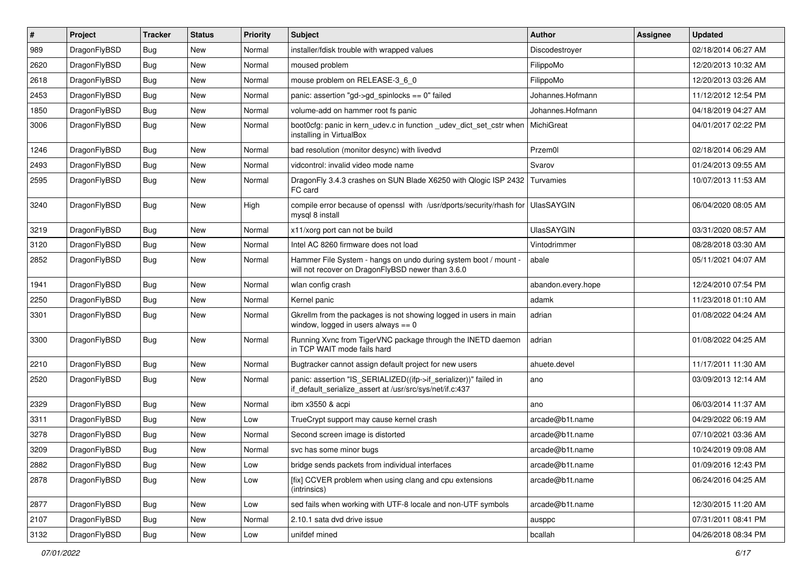| #    | Project      | <b>Tracker</b> | <b>Status</b> | <b>Priority</b> | Subject                                                                                                                      | <b>Author</b>      | Assignee | <b>Updated</b>      |
|------|--------------|----------------|---------------|-----------------|------------------------------------------------------------------------------------------------------------------------------|--------------------|----------|---------------------|
| 989  | DragonFlyBSD | <b>Bug</b>     | New           | Normal          | installer/fdisk trouble with wrapped values                                                                                  | Discodestroyer     |          | 02/18/2014 06:27 AM |
| 2620 | DragonFlyBSD | <b>Bug</b>     | New           | Normal          | moused problem                                                                                                               | FilippoMo          |          | 12/20/2013 10:32 AM |
| 2618 | DragonFlyBSD | <b>Bug</b>     | New           | Normal          | mouse problem on RELEASE-3 6 0                                                                                               | FilippoMo          |          | 12/20/2013 03:26 AM |
| 2453 | DragonFlyBSD | <b>Bug</b>     | New           | Normal          | panic: assertion "gd->gd_spinlocks == 0" failed                                                                              | Johannes.Hofmann   |          | 11/12/2012 12:54 PM |
| 1850 | DragonFlyBSD | <b>Bug</b>     | New           | Normal          | volume-add on hammer root fs panic                                                                                           | Johannes.Hofmann   |          | 04/18/2019 04:27 AM |
| 3006 | DragonFlyBSD | <b>Bug</b>     | New           | Normal          | boot0cfg: panic in kern_udev.c in function _udev_dict_set_cstr when<br>installing in VirtualBox                              | MichiGreat         |          | 04/01/2017 02:22 PM |
| 1246 | DragonFlyBSD | <b>Bug</b>     | New           | Normal          | bad resolution (monitor desync) with livedvd                                                                                 | Przem0l            |          | 02/18/2014 06:29 AM |
| 2493 | DragonFlyBSD | <b>Bug</b>     | New           | Normal          | vidcontrol: invalid video mode name                                                                                          | Svarov             |          | 01/24/2013 09:55 AM |
| 2595 | DragonFlyBSD | Bug            | <b>New</b>    | Normal          | DragonFly 3.4.3 crashes on SUN Blade X6250 with Qlogic ISP 2432<br>FC card                                                   | Turvamies          |          | 10/07/2013 11:53 AM |
| 3240 | DragonFlyBSD | <b>Bug</b>     | New           | High            | compile error because of openssl with /usr/dports/security/rhash for UlasSAYGIN<br>mysql 8 install                           |                    |          | 06/04/2020 08:05 AM |
| 3219 | DragonFlyBSD | <b>Bug</b>     | New           | Normal          | x11/xorg port can not be build                                                                                               | <b>UlasSAYGIN</b>  |          | 03/31/2020 08:57 AM |
| 3120 | DragonFlyBSD | <b>Bug</b>     | New           | Normal          | Intel AC 8260 firmware does not load                                                                                         | Vintodrimmer       |          | 08/28/2018 03:30 AM |
| 2852 | DragonFlyBSD | Bug            | New           | Normal          | Hammer File System - hangs on undo during system boot / mount -<br>will not recover on DragonFlyBSD newer than 3.6.0         | abale              |          | 05/11/2021 04:07 AM |
| 1941 | DragonFlyBSD | <b>Bug</b>     | New           | Normal          | wlan config crash                                                                                                            | abandon.every.hope |          | 12/24/2010 07:54 PM |
| 2250 | DragonFlyBSD | Bug            | New           | Normal          | Kernel panic                                                                                                                 | adamk              |          | 11/23/2018 01:10 AM |
| 3301 | DragonFlyBSD | Bug            | New           | Normal          | Gkrellm from the packages is not showing logged in users in main<br>window, logged in users always $== 0$                    | adrian             |          | 01/08/2022 04:24 AM |
| 3300 | DragonFlyBSD | <b>Bug</b>     | New           | Normal          | Running Xvnc from TigerVNC package through the INETD daemon<br>in TCP WAIT mode fails hard                                   | adrian             |          | 01/08/2022 04:25 AM |
| 2210 | DragonFlyBSD | <b>Bug</b>     | New           | Normal          | Bugtracker cannot assign default project for new users                                                                       | ahuete.devel       |          | 11/17/2011 11:30 AM |
| 2520 | DragonFlyBSD | <b>Bug</b>     | New           | Normal          | panic: assertion "IS_SERIALIZED((ifp->if_serializer))" failed in<br>if_default_serialize_assert at /usr/src/sys/net/if.c:437 | ano                |          | 03/09/2013 12:14 AM |
| 2329 | DragonFlyBSD | <b>Bug</b>     | New           | Normal          | ibm x3550 & acpi                                                                                                             | ano                |          | 06/03/2014 11:37 AM |
| 3311 | DragonFlyBSD | <b>Bug</b>     | New           | Low             | TrueCrypt support may cause kernel crash                                                                                     | arcade@b1t.name    |          | 04/29/2022 06:19 AM |
| 3278 | DragonFlyBSD | <b>Bug</b>     | New           | Normal          | Second screen image is distorted                                                                                             | arcade@b1t.name    |          | 07/10/2021 03:36 AM |
| 3209 | DragonFlyBSD | Bug            | New           | Normal          | svc has some minor bugs                                                                                                      | arcade@b1t.name    |          | 10/24/2019 09:08 AM |
| 2882 | DragonFlyBSD | Bug            | New           | Low             | bridge sends packets from individual interfaces                                                                              | arcade@b1t.name    |          | 01/09/2016 12:43 PM |
| 2878 | DragonFlyBSD | <b>Bug</b>     | New           | Low             | [fix] CCVER problem when using clang and cpu extensions<br>(intrinsics)                                                      | arcade@b1t.name    |          | 06/24/2016 04:25 AM |
| 2877 | DragonFlyBSD | <b>Bug</b>     | New           | Low             | sed fails when working with UTF-8 locale and non-UTF symbols                                                                 | arcade@b1t.name    |          | 12/30/2015 11:20 AM |
| 2107 | DragonFlyBSD | <b>Bug</b>     | New           | Normal          | 2.10.1 sata dvd drive issue                                                                                                  | ausppc             |          | 07/31/2011 08:41 PM |
| 3132 | DragonFlyBSD | Bug            | New           | Low             | unifdef mined                                                                                                                | bcallah            |          | 04/26/2018 08:34 PM |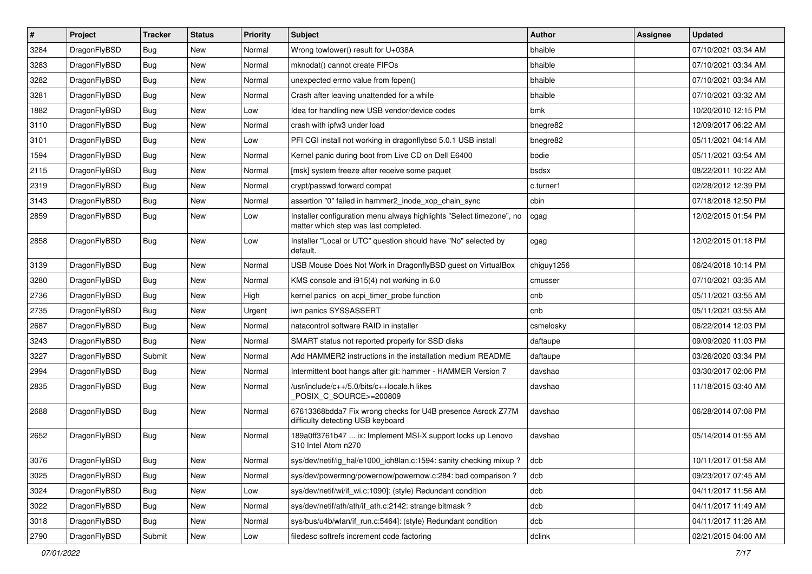| $\vert$ # | Project      | <b>Tracker</b> | <b>Status</b> | <b>Priority</b> | Subject                                                                                                       | <b>Author</b> | Assignee | <b>Updated</b>      |
|-----------|--------------|----------------|---------------|-----------------|---------------------------------------------------------------------------------------------------------------|---------------|----------|---------------------|
| 3284      | DragonFlyBSD | Bug            | New           | Normal          | Wrong towlower() result for U+038A                                                                            | bhaible       |          | 07/10/2021 03:34 AM |
| 3283      | DragonFlyBSD | Bug            | <b>New</b>    | Normal          | mknodat() cannot create FIFOs                                                                                 | bhaible       |          | 07/10/2021 03:34 AM |
| 3282      | DragonFlyBSD | Bug            | New           | Normal          | unexpected errno value from fopen()                                                                           | bhaible       |          | 07/10/2021 03:34 AM |
| 3281      | DragonFlyBSD | Bug            | New           | Normal          | Crash after leaving unattended for a while                                                                    | bhaible       |          | 07/10/2021 03:32 AM |
| 1882      | DragonFlyBSD | Bug            | <b>New</b>    | Low             | Idea for handling new USB vendor/device codes                                                                 | bmk           |          | 10/20/2010 12:15 PM |
| 3110      | DragonFlyBSD | <b>Bug</b>     | <b>New</b>    | Normal          | crash with ipfw3 under load                                                                                   | bnegre82      |          | 12/09/2017 06:22 AM |
| 3101      | DragonFlyBSD | Bug            | New           | Low             | PFI CGI install not working in dragonflybsd 5.0.1 USB install                                                 | bnegre82      |          | 05/11/2021 04:14 AM |
| 1594      | DragonFlyBSD | <b>Bug</b>     | New           | Normal          | Kernel panic during boot from Live CD on Dell E6400                                                           | bodie         |          | 05/11/2021 03:54 AM |
| 2115      | DragonFlyBSD | <b>Bug</b>     | New           | Normal          | [msk] system freeze after receive some paquet                                                                 | bsdsx         |          | 08/22/2011 10:22 AM |
| 2319      | DragonFlyBSD | Bug            | <b>New</b>    | Normal          | crypt/passwd forward compat                                                                                   | c.turner1     |          | 02/28/2012 12:39 PM |
| 3143      | DragonFlyBSD | <b>Bug</b>     | New           | Normal          | assertion "0" failed in hammer2_inode_xop_chain_sync                                                          | cbin          |          | 07/18/2018 12:50 PM |
| 2859      | DragonFlyBSD | <b>Bug</b>     | <b>New</b>    | Low             | Installer configuration menu always highlights "Select timezone", no<br>matter which step was last completed. | cgag          |          | 12/02/2015 01:54 PM |
| 2858      | DragonFlyBSD | Bug            | New           | Low             | Installer "Local or UTC" question should have "No" selected by<br>default.                                    | cgag          |          | 12/02/2015 01:18 PM |
| 3139      | DragonFlyBSD | Bug            | New           | Normal          | USB Mouse Does Not Work in DragonflyBSD guest on VirtualBox                                                   | chiguy1256    |          | 06/24/2018 10:14 PM |
| 3280      | DragonFlyBSD | Bug            | <b>New</b>    | Normal          | KMS console and i915(4) not working in 6.0                                                                    | cmusser       |          | 07/10/2021 03:35 AM |
| 2736      | DragonFlyBSD | Bug            | <b>New</b>    | High            | kernel panics on acpi_timer_probe function                                                                    | cnb           |          | 05/11/2021 03:55 AM |
| 2735      | DragonFlyBSD | <b>Bug</b>     | New           | Urgent          | iwn panics SYSSASSERT                                                                                         | cnb           |          | 05/11/2021 03:55 AM |
| 2687      | DragonFlyBSD | Bug            | New           | Normal          | natacontrol software RAID in installer                                                                        | csmelosky     |          | 06/22/2014 12:03 PM |
| 3243      | DragonFlyBSD | Bug            | <b>New</b>    | Normal          | SMART status not reported properly for SSD disks                                                              | daftaupe      |          | 09/09/2020 11:03 PM |
| 3227      | DragonFlyBSD | Submit         | New           | Normal          | Add HAMMER2 instructions in the installation medium README                                                    | daftaupe      |          | 03/26/2020 03:34 PM |
| 2994      | DragonFlyBSD | Bug            | New           | Normal          | Intermittent boot hangs after git: hammer - HAMMER Version 7                                                  | davshao       |          | 03/30/2017 02:06 PM |
| 2835      | DragonFlyBSD | Bug            | <b>New</b>    | Normal          | /usr/include/c++/5.0/bits/c++locale.h likes<br>POSIX_C_SOURCE>=200809                                         | davshao       |          | 11/18/2015 03:40 AM |
| 2688      | DragonFlyBSD | <b>Bug</b>     | New           | Normal          | 67613368bdda7 Fix wrong checks for U4B presence Asrock Z77M<br>difficulty detecting USB keyboard              | davshao       |          | 06/28/2014 07:08 PM |
| 2652      | DragonFlyBSD | Bug            | New           | Normal          | 189a0ff3761b47  ix: Implement MSI-X support locks up Lenovo<br>S10 Intel Atom n270                            | davshao       |          | 05/14/2014 01:55 AM |
| 3076      | DragonFlyBSD | <b>Bug</b>     | <b>New</b>    | Normal          | sys/dev/netif/ig_hal/e1000_ich8lan.c:1594: sanity checking mixup?                                             | dcb           |          | 10/11/2017 01:58 AM |
| 3025      | DragonFlyBSD | <b>Bug</b>     | <b>New</b>    | Normal          | sys/dev/powermng/powernow/powernow.c:284: bad comparison?                                                     | dcb           |          | 09/23/2017 07:45 AM |
| 3024      | DragonFlyBSD | <b>Bug</b>     | New           | Low             | sys/dev/netif/wi/if_wi.c:1090]: (style) Redundant condition                                                   | dcb           |          | 04/11/2017 11:56 AM |
| 3022      | DragonFlyBSD | <b>Bug</b>     | New           | Normal          | sys/dev/netif/ath/ath/if_ath.c:2142: strange bitmask?                                                         | dcb           |          | 04/11/2017 11:49 AM |
| 3018      | DragonFlyBSD | <b>Bug</b>     | New           | Normal          | sys/bus/u4b/wlan/if_run.c:5464]: (style) Redundant condition                                                  | dcb           |          | 04/11/2017 11:26 AM |
| 2790      | DragonFlyBSD | Submit         | New           | Low             | filedesc softrefs increment code factoring                                                                    | dclink        |          | 02/21/2015 04:00 AM |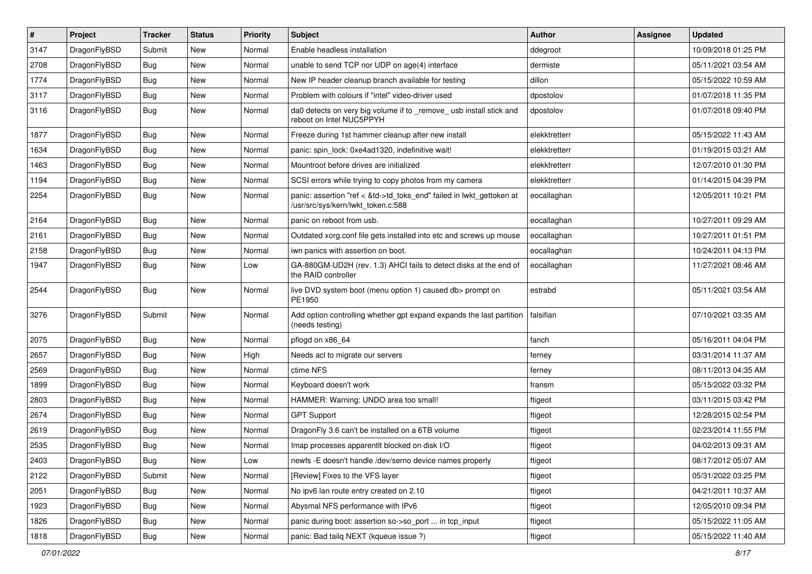| $\vert$ # | Project      | <b>Tracker</b> | <b>Status</b> | <b>Priority</b> | Subject                                                                                                    | Author        | Assignee | <b>Updated</b>      |
|-----------|--------------|----------------|---------------|-----------------|------------------------------------------------------------------------------------------------------------|---------------|----------|---------------------|
| 3147      | DragonFlyBSD | Submit         | New           | Normal          | Enable headless installation                                                                               | ddegroot      |          | 10/09/2018 01:25 PM |
| 2708      | DragonFlyBSD | Bug            | <b>New</b>    | Normal          | unable to send TCP nor UDP on age(4) interface                                                             | dermiste      |          | 05/11/2021 03:54 AM |
| 1774      | DragonFlyBSD | <b>Bug</b>     | <b>New</b>    | Normal          | New IP header cleanup branch available for testing                                                         | dillon        |          | 05/15/2022 10:59 AM |
| 3117      | DragonFlyBSD | Bug            | New           | Normal          | Problem with colours if "intel" video-driver used                                                          | dpostolov     |          | 01/07/2018 11:35 PM |
| 3116      | DragonFlyBSD | Bug            | New           | Normal          | da0 detects on very big volume if to _remove_ usb install stick and<br>reboot on Intel NUC5PPYH            | dpostolov     |          | 01/07/2018 09:40 PM |
| 1877      | DragonFlyBSD | Bug            | <b>New</b>    | Normal          | Freeze during 1st hammer cleanup after new install                                                         | elekktretterr |          | 05/15/2022 11:43 AM |
| 1634      | DragonFlyBSD | <b>Bug</b>     | New           | Normal          | panic: spin_lock: 0xe4ad1320, indefinitive wait!                                                           | elekktretterr |          | 01/19/2015 03:21 AM |
| 1463      | DragonFlyBSD | Bug            | <b>New</b>    | Normal          | Mountroot before drives are initialized                                                                    | elekktretterr |          | 12/07/2010 01:30 PM |
| 1194      | DragonFlyBSD | Bug            | <b>New</b>    | Normal          | SCSI errors while trying to copy photos from my camera                                                     | elekktretterr |          | 01/14/2015 04:39 PM |
| 2254      | DragonFlyBSD | Bug            | New           | Normal          | panic: assertion "ref < &td->td_toks_end" failed in lwkt_gettoken at<br>/usr/src/sys/kern/lwkt_token.c:588 | eocallaghan   |          | 12/05/2011 10:21 PM |
| 2164      | DragonFlyBSD | <b>Bug</b>     | <b>New</b>    | Normal          | panic on reboot from usb.                                                                                  | eocallaghan   |          | 10/27/2011 09:29 AM |
| 2161      | DragonFlyBSD | <b>Bug</b>     | New           | Normal          | Outdated xorg.conf file gets installed into etc and screws up mouse                                        | eocallaghan   |          | 10/27/2011 01:51 PM |
| 2158      | DragonFlyBSD | Bug            | <b>New</b>    | Normal          | iwn panics with assertion on boot.                                                                         | eocallaghan   |          | 10/24/2011 04:13 PM |
| 1947      | DragonFlyBSD | Bug            | New           | Low             | GA-880GM-UD2H (rev. 1.3) AHCI fails to detect disks at the end of<br>the RAID controller                   | eocallaghan   |          | 11/27/2021 08:46 AM |
| 2544      | DragonFlyBSD | Bug            | New           | Normal          | live DVD system boot (menu option 1) caused db> prompt on<br>PE1950                                        | estrabd       |          | 05/11/2021 03:54 AM |
| 3276      | DragonFlyBSD | Submit         | New           | Normal          | Add option controlling whether gpt expand expands the last partition<br>(needs testing)                    | falsifian     |          | 07/10/2021 03:35 AM |
| 2075      | DragonFlyBSD | <b>Bug</b>     | New           | Normal          | pflogd on x86 64                                                                                           | fanch         |          | 05/16/2011 04:04 PM |
| 2657      | DragonFlyBSD | Bug            | <b>New</b>    | High            | Needs acl to migrate our servers                                                                           | ferney        |          | 03/31/2014 11:37 AM |
| 2569      | DragonFlyBSD | <b>Bug</b>     | New           | Normal          | ctime NFS                                                                                                  | ferney        |          | 08/11/2013 04:35 AM |
| 1899      | DragonFlyBSD | Bug            | <b>New</b>    | Normal          | Keyboard doesn't work                                                                                      | fransm        |          | 05/15/2022 03:32 PM |
| 2803      | DragonFlyBSD | Bug            | <b>New</b>    | Normal          | HAMMER: Warning: UNDO area too small!                                                                      | ftigeot       |          | 03/11/2015 03:42 PM |
| 2674      | DragonFlyBSD | <b>Bug</b>     | New           | Normal          | <b>GPT Support</b>                                                                                         | ftigeot       |          | 12/28/2015 02:54 PM |
| 2619      | DragonFlyBSD | Bug            | <b>New</b>    | Normal          | DragonFly 3.6 can't be installed on a 6TB volume                                                           | ftigeot       |          | 02/23/2014 11:55 PM |
| 2535      | DragonFlyBSD | <b>Bug</b>     | New           | Normal          | Imap processes apparentlt blocked on disk I/O                                                              | ftigeot       |          | 04/02/2013 09:31 AM |
| 2403      | DragonFlyBSD | Bug            | New           | Low             | newfs -E doesn't handle /dev/serno device names properly                                                   | ftigeot       |          | 08/17/2012 05:07 AM |
| 2122      | DragonFlyBSD | Submit         | New           | Normal          | [Review] Fixes to the VFS layer                                                                            | ftigeot       |          | 05/31/2022 03:25 PM |
| 2051      | DragonFlyBSD | <b>Bug</b>     | New           | Normal          | No ipv6 lan route entry created on 2.10                                                                    | ftigeot       |          | 04/21/2011 10:37 AM |
| 1923      | DragonFlyBSD | <b>Bug</b>     | New           | Normal          | Abysmal NFS performance with IPv6                                                                          | ftigeot       |          | 12/05/2010 09:34 PM |
| 1826      | DragonFlyBSD | <b>Bug</b>     | New           | Normal          | panic during boot: assertion so->so_port  in tcp_input                                                     | ftigeot       |          | 05/15/2022 11:05 AM |
| 1818      | DragonFlyBSD | <b>Bug</b>     | New           | Normal          | panic: Bad tailq NEXT (kqueue issue ?)                                                                     | ftigeot       |          | 05/15/2022 11:40 AM |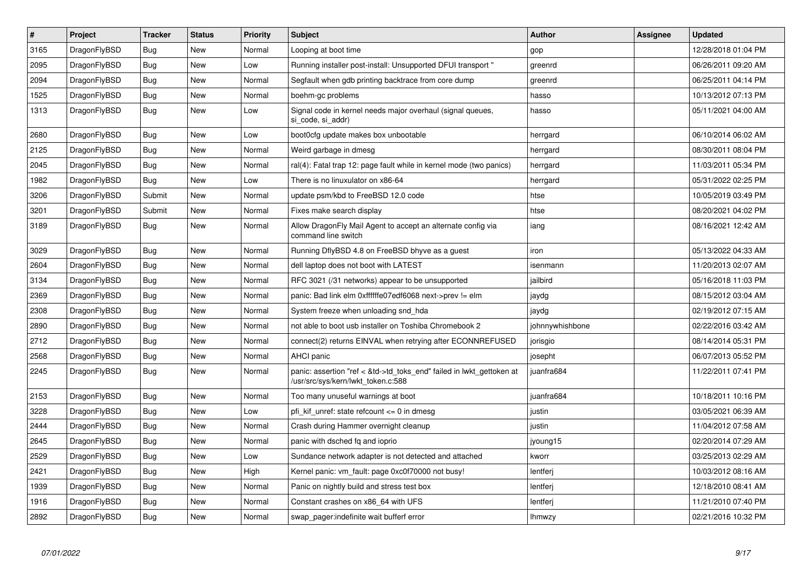| $\vert$ # | Project      | <b>Tracker</b> | <b>Status</b> | <b>Priority</b> | <b>Subject</b>                                                                                             | <b>Author</b>   | Assignee | <b>Updated</b>      |
|-----------|--------------|----------------|---------------|-----------------|------------------------------------------------------------------------------------------------------------|-----------------|----------|---------------------|
| 3165      | DragonFlyBSD | <b>Bug</b>     | <b>New</b>    | Normal          | Looping at boot time                                                                                       | gop             |          | 12/28/2018 01:04 PM |
| 2095      | DragonFlyBSD | Bug            | New           | Low             | Running installer post-install: Unsupported DFUI transport "                                               | greenrd         |          | 06/26/2011 09:20 AM |
| 2094      | DragonFlyBSD | Bug            | <b>New</b>    | Normal          | Segfault when gdb printing backtrace from core dump                                                        | greenrd         |          | 06/25/2011 04:14 PM |
| 1525      | DragonFlyBSD | Bug            | <b>New</b>    | Normal          | boehm-gc problems                                                                                          | hasso           |          | 10/13/2012 07:13 PM |
| 1313      | DragonFlyBSD | Bug            | <b>New</b>    | Low             | Signal code in kernel needs major overhaul (signal queues,<br>si code, si addr)                            | hasso           |          | 05/11/2021 04:00 AM |
| 2680      | DragonFlyBSD | <b>Bug</b>     | New           | Low             | boot0cfg update makes box unbootable                                                                       | herrgard        |          | 06/10/2014 06:02 AM |
| 2125      | DragonFlyBSD | Bug            | <b>New</b>    | Normal          | Weird garbage in dmesg                                                                                     | herrgard        |          | 08/30/2011 08:04 PM |
| 2045      | DragonFlyBSD | <b>Bug</b>     | <b>New</b>    | Normal          | ral(4): Fatal trap 12: page fault while in kernel mode (two panics)                                        | herrgard        |          | 11/03/2011 05:34 PM |
| 1982      | DragonFlyBSD | Bug            | <b>New</b>    | Low             | There is no linuxulator on x86-64                                                                          | herrgard        |          | 05/31/2022 02:25 PM |
| 3206      | DragonFlyBSD | Submit         | <b>New</b>    | Normal          | update psm/kbd to FreeBSD 12.0 code                                                                        | htse            |          | 10/05/2019 03:49 PM |
| 3201      | DragonFlyBSD | Submit         | <b>New</b>    | Normal          | Fixes make search display                                                                                  | htse            |          | 08/20/2021 04:02 PM |
| 3189      | DragonFlyBSD | <b>Bug</b>     | <b>New</b>    | Normal          | Allow DragonFly Mail Agent to accept an alternate config via<br>command line switch                        | iang            |          | 08/16/2021 12:42 AM |
| 3029      | DragonFlyBSD | Bug            | <b>New</b>    | Normal          | Running DflyBSD 4.8 on FreeBSD bhyve as a guest                                                            | iron            |          | 05/13/2022 04:33 AM |
| 2604      | DragonFlyBSD | <b>Bug</b>     | <b>New</b>    | Normal          | dell laptop does not boot with LATEST                                                                      | isenmann        |          | 11/20/2013 02:07 AM |
| 3134      | DragonFlyBSD | Bug            | <b>New</b>    | Normal          | RFC 3021 (/31 networks) appear to be unsupported                                                           | jailbird        |          | 05/16/2018 11:03 PM |
| 2369      | DragonFlyBSD | <b>Bug</b>     | <b>New</b>    | Normal          | panic: Bad link elm 0xffffffe07edf6068 next->prev != elm                                                   | jaydg           |          | 08/15/2012 03:04 AM |
| 2308      | DragonFlyBSD | <b>Bug</b>     | <b>New</b>    | Normal          | System freeze when unloading snd hda                                                                       | jaydg           |          | 02/19/2012 07:15 AM |
| 2890      | DragonFlyBSD | <b>Bug</b>     | <b>New</b>    | Normal          | not able to boot usb installer on Toshiba Chromebook 2                                                     | johnnywhishbone |          | 02/22/2016 03:42 AM |
| 2712      | DragonFlyBSD | Bug            | <b>New</b>    | Normal          | connect(2) returns EINVAL when retrying after ECONNREFUSED                                                 | jorisgio        |          | 08/14/2014 05:31 PM |
| 2568      | DragonFlyBSD | <b>Bug</b>     | <b>New</b>    | Normal          | AHCI panic                                                                                                 | josepht         |          | 06/07/2013 05:52 PM |
| 2245      | DragonFlyBSD | Bug            | New           | Normal          | panic: assertion "ref < &td->td toks end" failed in lwkt gettoken at<br>/usr/src/sys/kern/lwkt_token.c:588 | juanfra684      |          | 11/22/2011 07:41 PM |
| 2153      | DragonFlyBSD | Bug            | <b>New</b>    | Normal          | Too many unuseful warnings at boot                                                                         | juanfra684      |          | 10/18/2011 10:16 PM |
| 3228      | DragonFlyBSD | <b>Bug</b>     | <b>New</b>    | Low             | pfi_kif_unref: state refcount <= 0 in dmesg                                                                | justin          |          | 03/05/2021 06:39 AM |
| 2444      | DragonFlyBSD | Bug            | <b>New</b>    | Normal          | Crash during Hammer overnight cleanup                                                                      | justin          |          | 11/04/2012 07:58 AM |
| 2645      | DragonFlyBSD | <b>Bug</b>     | <b>New</b>    | Normal          | panic with dsched fq and ioprio                                                                            | jyoung15        |          | 02/20/2014 07:29 AM |
| 2529      | DragonFlyBSD | <b>Bug</b>     | New           | Low             | Sundance network adapter is not detected and attached                                                      | kworr           |          | 03/25/2013 02:29 AM |
| 2421      | DragonFlyBSD | Bug            | <b>New</b>    | High            | Kernel panic: vm fault: page 0xc0f70000 not busy!                                                          | lentferj        |          | 10/03/2012 08:16 AM |
| 1939      | DragonFlyBSD | Bug            | <b>New</b>    | Normal          | Panic on nightly build and stress test box                                                                 | lentferi        |          | 12/18/2010 08:41 AM |
| 1916      | DragonFlyBSD | Bug            | New           | Normal          | Constant crashes on x86 64 with UFS                                                                        | lentferj        |          | 11/21/2010 07:40 PM |
| 2892      | DragonFlyBSD | <b>Bug</b>     | <b>New</b>    | Normal          | swap pager:indefinite wait bufferf error                                                                   | <b>Ihmwzy</b>   |          | 02/21/2016 10:32 PM |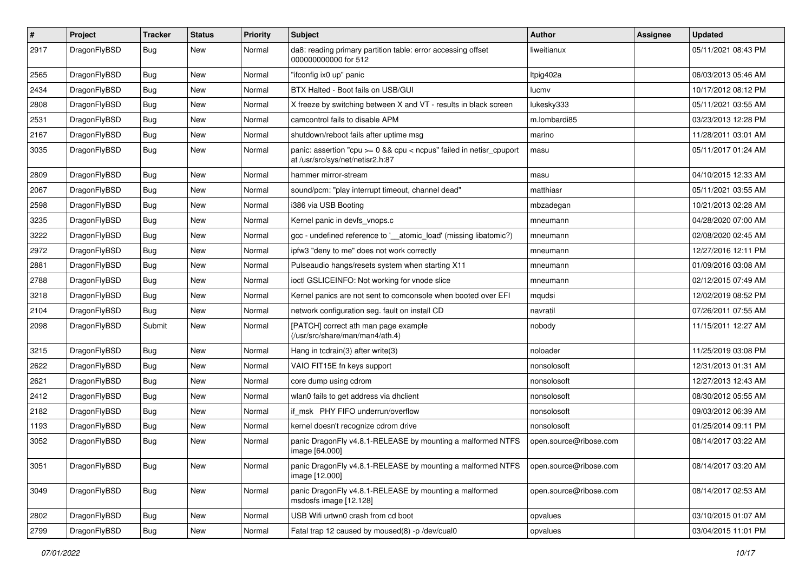| #    | Project      | <b>Tracker</b> | <b>Status</b> | <b>Priority</b> | Subject                                                                                                 | <b>Author</b>          | Assignee | <b>Updated</b>      |
|------|--------------|----------------|---------------|-----------------|---------------------------------------------------------------------------------------------------------|------------------------|----------|---------------------|
| 2917 | DragonFlyBSD | Bug            | New           | Normal          | da8: reading primary partition table: error accessing offset<br>000000000000 for 512                    | liweitianux            |          | 05/11/2021 08:43 PM |
| 2565 | DragonFlyBSD | <b>Bug</b>     | <b>New</b>    | Normal          | "ifconfig ix0 up" panic                                                                                 | Itpig402a              |          | 06/03/2013 05:46 AM |
| 2434 | DragonFlyBSD | <b>Bug</b>     | <b>New</b>    | Normal          | BTX Halted - Boot fails on USB/GUI                                                                      | lucmv                  |          | 10/17/2012 08:12 PM |
| 2808 | DragonFlyBSD | <b>Bug</b>     | <b>New</b>    | Normal          | X freeze by switching between X and VT - results in black screen                                        | lukesky333             |          | 05/11/2021 03:55 AM |
| 2531 | DragonFlyBSD | <b>Bug</b>     | <b>New</b>    | Normal          | camcontrol fails to disable APM                                                                         | m.lombardi85           |          | 03/23/2013 12:28 PM |
| 2167 | DragonFlyBSD | Bug            | <b>New</b>    | Normal          | shutdown/reboot fails after uptime msg                                                                  | marino                 |          | 11/28/2011 03:01 AM |
| 3035 | DragonFlyBSD | Bug            | <b>New</b>    | Normal          | panic: assertion "cpu >= 0 && cpu < ncpus" failed in netisr_cpuport<br>at /usr/src/sys/net/netisr2.h:87 | masu                   |          | 05/11/2017 01:24 AM |
| 2809 | DragonFlyBSD | Bug            | <b>New</b>    | Normal          | hammer mirror-stream                                                                                    | masu                   |          | 04/10/2015 12:33 AM |
| 2067 | DragonFlyBSD | <b>Bug</b>     | <b>New</b>    | Normal          | sound/pcm: "play interrupt timeout, channel dead"                                                       | matthiasr              |          | 05/11/2021 03:55 AM |
| 2598 | DragonFlyBSD | Bug            | <b>New</b>    | Normal          | i386 via USB Booting                                                                                    | mbzadegan              |          | 10/21/2013 02:28 AM |
| 3235 | DragonFlyBSD | <b>Bug</b>     | <b>New</b>    | Normal          | Kernel panic in devfs vnops.c                                                                           | mneumann               |          | 04/28/2020 07:00 AM |
| 3222 | DragonFlyBSD | <b>Bug</b>     | New           | Normal          | gcc - undefined reference to '__atomic_load' (missing libatomic?)                                       | mneumann               |          | 02/08/2020 02:45 AM |
| 2972 | DragonFlyBSD | Bug            | <b>New</b>    | Normal          | ipfw3 "deny to me" does not work correctly                                                              | mneumann               |          | 12/27/2016 12:11 PM |
| 2881 | DragonFlyBSD | <b>Bug</b>     | <b>New</b>    | Normal          | Pulseaudio hangs/resets system when starting X11                                                        | mneumann               |          | 01/09/2016 03:08 AM |
| 2788 | DragonFlyBSD | <b>Bug</b>     | New           | Normal          | ioctl GSLICEINFO: Not working for vnode slice                                                           | mneumann               |          | 02/12/2015 07:49 AM |
| 3218 | DragonFlyBSD | Bug            | <b>New</b>    | Normal          | Kernel panics are not sent to comconsole when booted over EFI                                           | mqudsi                 |          | 12/02/2019 08:52 PM |
| 2104 | DragonFlyBSD | Bug            | <b>New</b>    | Normal          | network configuration seg. fault on install CD                                                          | navratil               |          | 07/26/2011 07:55 AM |
| 2098 | DragonFlyBSD | Submit         | New           | Normal          | [PATCH] correct ath man page example<br>(/usr/src/share/man/man4/ath.4)                                 | nobody                 |          | 11/15/2011 12:27 AM |
| 3215 | DragonFlyBSD | Bug            | <b>New</b>    | Normal          | Hang in tcdrain(3) after write(3)                                                                       | noloader               |          | 11/25/2019 03:08 PM |
| 2622 | DragonFlyBSD | Bug            | <b>New</b>    | Normal          | VAIO FIT15E fn keys support                                                                             | nonsolosoft            |          | 12/31/2013 01:31 AM |
| 2621 | DragonFlyBSD | <b>Bug</b>     | <b>New</b>    | Normal          | core dump using cdrom                                                                                   | nonsolosoft            |          | 12/27/2013 12:43 AM |
| 2412 | DragonFlyBSD | Bug            | <b>New</b>    | Normal          | wlan0 fails to get address via dhclient                                                                 | nonsolosoft            |          | 08/30/2012 05:55 AM |
| 2182 | DragonFlyBSD | <b>Bug</b>     | <b>New</b>    | Normal          | if msk PHY FIFO underrun/overflow                                                                       | nonsolosoft            |          | 09/03/2012 06:39 AM |
| 1193 | DragonFlyBSD | <b>Bug</b>     | <b>New</b>    | Normal          | kernel doesn't recognize cdrom drive                                                                    | nonsolosoft            |          | 01/25/2014 09:11 PM |
| 3052 | DragonFlyBSD | Bug            | <b>New</b>    | Normal          | panic DragonFly v4.8.1-RELEASE by mounting a malformed NTFS<br>image [64.000]                           | open.source@ribose.com |          | 08/14/2017 03:22 AM |
| 3051 | DragonFlyBSD | Bug            | New           | Normal          | panic DragonFly v4.8.1-RELEASE by mounting a malformed NTFS<br>image [12.000]                           | open.source@ribose.com |          | 08/14/2017 03:20 AM |
| 3049 | DragonFlyBSD | Bug            | New           | Normal          | panic DragonFly v4.8.1-RELEASE by mounting a malformed<br>msdosfs image [12.128]                        | open.source@ribose.com |          | 08/14/2017 02:53 AM |
| 2802 | DragonFlyBSD | <b>Bug</b>     | New           | Normal          | USB Wifi urtwn0 crash from cd boot                                                                      | opvalues               |          | 03/10/2015 01:07 AM |
| 2799 | DragonFlyBSD | Bug            | New           | Normal          | Fatal trap 12 caused by moused(8) -p /dev/cual0                                                         | opvalues               |          | 03/04/2015 11:01 PM |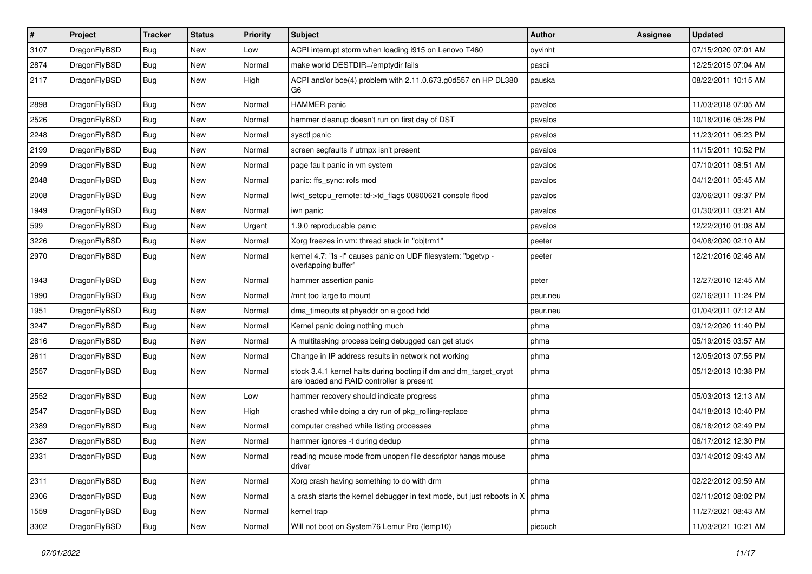| $\sharp$ | Project      | <b>Tracker</b> | <b>Status</b> | <b>Priority</b> | Subject                                                                                                        | <b>Author</b> | <b>Assignee</b> | <b>Updated</b>      |
|----------|--------------|----------------|---------------|-----------------|----------------------------------------------------------------------------------------------------------------|---------------|-----------------|---------------------|
| 3107     | DragonFlyBSD | Bug            | <b>New</b>    | Low             | ACPI interrupt storm when loading i915 on Lenovo T460                                                          | oyvinht       |                 | 07/15/2020 07:01 AM |
| 2874     | DragonFlyBSD | Bug            | <b>New</b>    | Normal          | make world DESTDIR=/emptydir fails                                                                             | pascii        |                 | 12/25/2015 07:04 AM |
| 2117     | DragonFlyBSD | <b>Bug</b>     | New           | High            | ACPI and/or bce(4) problem with 2.11.0.673.g0d557 on HP DL380<br>G6                                            | pauska        |                 | 08/22/2011 10:15 AM |
| 2898     | DragonFlyBSD | Bug            | New           | Normal          | <b>HAMMER</b> panic                                                                                            | pavalos       |                 | 11/03/2018 07:05 AM |
| 2526     | DragonFlyBSD | Bug            | New           | Normal          | hammer cleanup doesn't run on first day of DST                                                                 | pavalos       |                 | 10/18/2016 05:28 PM |
| 2248     | DragonFlyBSD | Bug            | <b>New</b>    | Normal          | sysctl panic                                                                                                   | pavalos       |                 | 11/23/2011 06:23 PM |
| 2199     | DragonFlyBSD | <b>Bug</b>     | <b>New</b>    | Normal          | screen segfaults if utmpx isn't present                                                                        | pavalos       |                 | 11/15/2011 10:52 PM |
| 2099     | DragonFlyBSD | Bug            | New           | Normal          | page fault panic in vm system                                                                                  | pavalos       |                 | 07/10/2011 08:51 AM |
| 2048     | DragonFlyBSD | Bug            | <b>New</b>    | Normal          | panic: ffs_sync: rofs mod                                                                                      | pavalos       |                 | 04/12/2011 05:45 AM |
| 2008     | DragonFlyBSD | <b>Bug</b>     | New           | Normal          | lwkt_setcpu_remote: td->td_flags 00800621 console flood                                                        | pavalos       |                 | 03/06/2011 09:37 PM |
| 1949     | DragonFlyBSD | Bug            | New           | Normal          | iwn panic                                                                                                      | pavalos       |                 | 01/30/2011 03:21 AM |
| 599      | DragonFlyBSD | <b>Bug</b>     | <b>New</b>    | Urgent          | 1.9.0 reproducable panic                                                                                       | pavalos       |                 | 12/22/2010 01:08 AM |
| 3226     | DragonFlyBSD | <b>Bug</b>     | New           | Normal          | Xorg freezes in vm: thread stuck in "objtrm1"                                                                  | peeter        |                 | 04/08/2020 02:10 AM |
| 2970     | DragonFlyBSD | Bug            | New           | Normal          | kernel 4.7: "Is -I" causes panic on UDF filesystem: "bgetvp -<br>overlapping buffer"                           | peeter        |                 | 12/21/2016 02:46 AM |
| 1943     | DragonFlyBSD | Bug            | New           | Normal          | hammer assertion panic                                                                                         | peter         |                 | 12/27/2010 12:45 AM |
| 1990     | DragonFlyBSD | Bug            | <b>New</b>    | Normal          | /mnt too large to mount                                                                                        | peur.neu      |                 | 02/16/2011 11:24 PM |
| 1951     | DragonFlyBSD | <b>Bug</b>     | <b>New</b>    | Normal          | dma_timeouts at phyaddr on a good hdd                                                                          | peur.neu      |                 | 01/04/2011 07:12 AM |
| 3247     | DragonFlyBSD | Bug            | New           | Normal          | Kernel panic doing nothing much                                                                                | phma          |                 | 09/12/2020 11:40 PM |
| 2816     | DragonFlyBSD | <b>Bug</b>     | <b>New</b>    | Normal          | A multitasking process being debugged can get stuck                                                            | phma          |                 | 05/19/2015 03:57 AM |
| 2611     | DragonFlyBSD | <b>Bug</b>     | New           | Normal          | Change in IP address results in network not working                                                            | phma          |                 | 12/05/2013 07:55 PM |
| 2557     | DragonFlyBSD | Bug            | New           | Normal          | stock 3.4.1 kernel halts during booting if dm and dm_target_crypt<br>are loaded and RAID controller is present | phma          |                 | 05/12/2013 10:38 PM |
| 2552     | DragonFlyBSD | Bug            | New           | Low             | hammer recovery should indicate progress                                                                       | phma          |                 | 05/03/2013 12:13 AM |
| 2547     | DragonFlyBSD | Bug            | New           | High            | crashed while doing a dry run of pkg rolling-replace                                                           | phma          |                 | 04/18/2013 10:40 PM |
| 2389     | DragonFlyBSD | Bug            | <b>New</b>    | Normal          | computer crashed while listing processes                                                                       | phma          |                 | 06/18/2012 02:49 PM |
| 2387     | DragonFlyBSD | Bug            | New           | Normal          | hammer ignores -t during dedup                                                                                 | phma          |                 | 06/17/2012 12:30 PM |
| 2331     | DragonFlyBSD | i Bug          | New           | Normal          | reading mouse mode from unopen file descriptor hangs mouse<br>driver                                           | phma          |                 | 03/14/2012 09:43 AM |
| 2311     | DragonFlyBSD | <b>Bug</b>     | <b>New</b>    | Normal          | Xorg crash having something to do with drm                                                                     | phma          |                 | 02/22/2012 09:59 AM |
| 2306     | DragonFlyBSD | <b>Bug</b>     | New           | Normal          | a crash starts the kernel debugger in text mode, but just reboots in $X \mid p h$ phma                         |               |                 | 02/11/2012 08:02 PM |
| 1559     | DragonFlyBSD | <b>Bug</b>     | <b>New</b>    | Normal          | kernel trap                                                                                                    | phma          |                 | 11/27/2021 08:43 AM |
| 3302     | DragonFlyBSD | <b>Bug</b>     | New           | Normal          | Will not boot on System76 Lemur Pro (lemp10)                                                                   | piecuch       |                 | 11/03/2021 10:21 AM |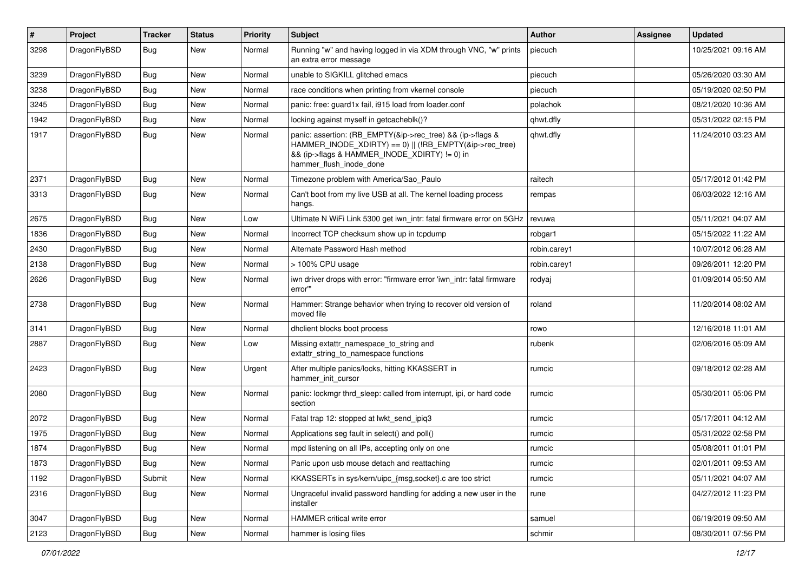| $\vert$ # | Project      | <b>Tracker</b> | <b>Status</b> | <b>Priority</b> | <b>Subject</b>                                                                                                                                                                                    | Author       | Assignee | <b>Updated</b>      |
|-----------|--------------|----------------|---------------|-----------------|---------------------------------------------------------------------------------------------------------------------------------------------------------------------------------------------------|--------------|----------|---------------------|
| 3298      | DragonFlyBSD | Bug            | New           | Normal          | Running "w" and having logged in via XDM through VNC, "w" prints<br>an extra error message                                                                                                        | piecuch      |          | 10/25/2021 09:16 AM |
| 3239      | DragonFlyBSD | <b>Bug</b>     | <b>New</b>    | Normal          | unable to SIGKILL glitched emacs                                                                                                                                                                  | piecuch      |          | 05/26/2020 03:30 AM |
| 3238      | DragonFlyBSD | Bug            | New           | Normal          | race conditions when printing from vkernel console                                                                                                                                                | piecuch      |          | 05/19/2020 02:50 PM |
| 3245      | DragonFlyBSD | <b>Bug</b>     | New           | Normal          | panic: free: guard1x fail, i915 load from loader.conf                                                                                                                                             | polachok     |          | 08/21/2020 10:36 AM |
| 1942      | DragonFlyBSD | <b>Bug</b>     | New           | Normal          | locking against myself in getcacheblk()?                                                                                                                                                          | qhwt.dfly    |          | 05/31/2022 02:15 PM |
| 1917      | DragonFlyBSD | Bug            | New           | Normal          | panic: assertion: (RB_EMPTY(&ip->rec_tree) && (ip->flags &<br>HAMMER_INODE_XDIRTY) == 0)    (!RB_EMPTY(&ip->rec_tree)<br>&& (ip->flags & HAMMER_INODE_XDIRTY) != 0) in<br>hammer_flush_inode_done | qhwt.dfly    |          | 11/24/2010 03:23 AM |
| 2371      | DragonFlyBSD | <b>Bug</b>     | New           | Normal          | Timezone problem with America/Sao_Paulo                                                                                                                                                           | raitech      |          | 05/17/2012 01:42 PM |
| 3313      | DragonFlyBSD | Bug            | New           | Normal          | Can't boot from my live USB at all. The kernel loading process<br>hangs.                                                                                                                          | rempas       |          | 06/03/2022 12:16 AM |
| 2675      | DragonFlyBSD | Bug            | <b>New</b>    | Low             | Ultimate N WiFi Link 5300 get iwn_intr: fatal firmware error on 5GHz                                                                                                                              | revuwa       |          | 05/11/2021 04:07 AM |
| 1836      | DragonFlyBSD | Bug            | New           | Normal          | Incorrect TCP checksum show up in tcpdump                                                                                                                                                         | robgar1      |          | 05/15/2022 11:22 AM |
| 2430      | DragonFlyBSD | Bug            | <b>New</b>    | Normal          | Alternate Password Hash method                                                                                                                                                                    | robin.carey1 |          | 10/07/2012 06:28 AM |
| 2138      | DragonFlyBSD | <b>Bug</b>     | New           | Normal          | > 100% CPU usage                                                                                                                                                                                  | robin.carey1 |          | 09/26/2011 12:20 PM |
| 2626      | DragonFlyBSD | Bug            | New           | Normal          | iwn driver drops with error: "firmware error 'iwn_intr: fatal firmware<br>error""                                                                                                                 | rodyaj       |          | 01/09/2014 05:50 AM |
| 2738      | DragonFlyBSD | <b>Bug</b>     | <b>New</b>    | Normal          | Hammer: Strange behavior when trying to recover old version of<br>moved file                                                                                                                      | roland       |          | 11/20/2014 08:02 AM |
| 3141      | DragonFlyBSD | Bug            | <b>New</b>    | Normal          | dhclient blocks boot process                                                                                                                                                                      | rowo         |          | 12/16/2018 11:01 AM |
| 2887      | DragonFlyBSD | Bug            | New           | Low             | Missing extattr_namespace_to_string and<br>extattr_string_to_namespace functions                                                                                                                  | rubenk       |          | 02/06/2016 05:09 AM |
| 2423      | DragonFlyBSD | <b>Bug</b>     | <b>New</b>    | Urgent          | After multiple panics/locks, hitting KKASSERT in<br>hammer init cursor                                                                                                                            | rumcic       |          | 09/18/2012 02:28 AM |
| 2080      | DragonFlyBSD | Bug            | <b>New</b>    | Normal          | panic: lockmgr thrd_sleep: called from interrupt, ipi, or hard code<br>section                                                                                                                    | rumcic       |          | 05/30/2011 05:06 PM |
| 2072      | DragonFlyBSD | Bug            | <b>New</b>    | Normal          | Fatal trap 12: stopped at lwkt_send_ipiq3                                                                                                                                                         | rumcic       |          | 05/17/2011 04:12 AM |
| 1975      | DragonFlyBSD | <b>Bug</b>     | New           | Normal          | Applications seg fault in select() and poll()                                                                                                                                                     | rumcic       |          | 05/31/2022 02:58 PM |
| 1874      | DragonFlyBSD | Bug            | New           | Normal          | mpd listening on all IPs, accepting only on one                                                                                                                                                   | rumcic       |          | 05/08/2011 01:01 PM |
| 1873      | DragonFlyBSD | Bug            | New           | Normal          | Panic upon usb mouse detach and reattaching                                                                                                                                                       | rumcic       |          | 02/01/2011 09:53 AM |
| 1192      | DragonFlyBSD | Submit         | New           | Normal          | KKASSERTs in sys/kern/uipc_{msg,socket}.c are too strict                                                                                                                                          | rumcic       |          | 05/11/2021 04:07 AM |
| 2316      | DragonFlyBSD | Bug            | New           | Normal          | Ungraceful invalid password handling for adding a new user in the<br>installer                                                                                                                    | rune         |          | 04/27/2012 11:23 PM |
| 3047      | DragonFlyBSD | Bug            | New           | Normal          | HAMMER critical write error                                                                                                                                                                       | samuel       |          | 06/19/2019 09:50 AM |
| 2123      | DragonFlyBSD | Bug            | New           | Normal          | hammer is losing files                                                                                                                                                                            | schmir       |          | 08/30/2011 07:56 PM |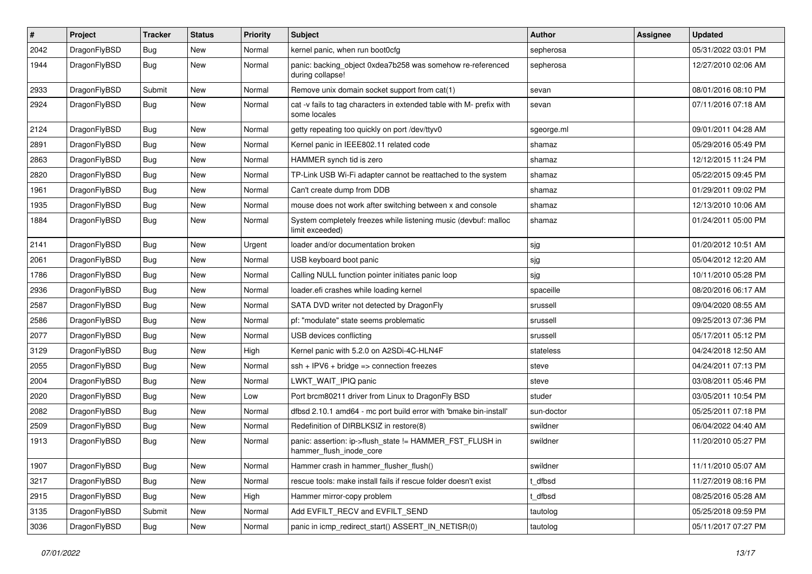| $\sharp$ | Project      | <b>Tracker</b> | <b>Status</b> | <b>Priority</b> | Subject                                                                              | <b>Author</b> | Assignee | <b>Updated</b>      |
|----------|--------------|----------------|---------------|-----------------|--------------------------------------------------------------------------------------|---------------|----------|---------------------|
| 2042     | DragonFlyBSD | Bug            | <b>New</b>    | Normal          | kernel panic, when run boot0cfg                                                      | sepherosa     |          | 05/31/2022 03:01 PM |
| 1944     | DragonFlyBSD | <b>Bug</b>     | New           | Normal          | panic: backing_object 0xdea7b258 was somehow re-referenced<br>during collapse!       | sepherosa     |          | 12/27/2010 02:06 AM |
| 2933     | DragonFlyBSD | Submit         | <b>New</b>    | Normal          | Remove unix domain socket support from cat(1)                                        | sevan         |          | 08/01/2016 08:10 PM |
| 2924     | DragonFlyBSD | Bug            | <b>New</b>    | Normal          | cat -v fails to tag characters in extended table with M- prefix with<br>some locales | sevan         |          | 07/11/2016 07:18 AM |
| 2124     | DragonFlyBSD | Bug            | <b>New</b>    | Normal          | getty repeating too quickly on port /dev/ttyv0                                       | sgeorge.ml    |          | 09/01/2011 04:28 AM |
| 2891     | DragonFlyBSD | Bug            | New           | Normal          | Kernel panic in IEEE802.11 related code                                              | shamaz        |          | 05/29/2016 05:49 PM |
| 2863     | DragonFlyBSD | Bug            | New           | Normal          | HAMMER synch tid is zero                                                             | shamaz        |          | 12/12/2015 11:24 PM |
| 2820     | DragonFlyBSD | Bug            | <b>New</b>    | Normal          | TP-Link USB Wi-Fi adapter cannot be reattached to the system                         | shamaz        |          | 05/22/2015 09:45 PM |
| 1961     | DragonFlyBSD | Bug            | New           | Normal          | Can't create dump from DDB                                                           | shamaz        |          | 01/29/2011 09:02 PM |
| 1935     | DragonFlyBSD | Bug            | <b>New</b>    | Normal          | mouse does not work after switching between x and console                            | shamaz        |          | 12/13/2010 10:06 AM |
| 1884     | DragonFlyBSD | Bug            | <b>New</b>    | Normal          | System completely freezes while listening music (devbuf: malloc<br>limit exceeded)   | shamaz        |          | 01/24/2011 05:00 PM |
| 2141     | DragonFlyBSD | Bug            | <b>New</b>    | Urgent          | loader and/or documentation broken                                                   | sjg           |          | 01/20/2012 10:51 AM |
| 2061     | DragonFlyBSD | Bug            | New           | Normal          | USB keyboard boot panic                                                              | sjg           |          | 05/04/2012 12:20 AM |
| 1786     | DragonFlyBSD | Bug            | New           | Normal          | Calling NULL function pointer initiates panic loop                                   | sjg           |          | 10/11/2010 05:28 PM |
| 2936     | DragonFlyBSD | Bug            | New           | Normal          | loader.efi crashes while loading kernel                                              | spaceille     |          | 08/20/2016 06:17 AM |
| 2587     | DragonFlyBSD | Bug            | New           | Normal          | SATA DVD writer not detected by DragonFly                                            | srussell      |          | 09/04/2020 08:55 AM |
| 2586     | DragonFlyBSD | Bug            | <b>New</b>    | Normal          | pf: "modulate" state seems problematic                                               | srussell      |          | 09/25/2013 07:36 PM |
| 2077     | DragonFlyBSD | <b>Bug</b>     | <b>New</b>    | Normal          | USB devices conflicting                                                              | srussell      |          | 05/17/2011 05:12 PM |
| 3129     | DragonFlyBSD | Bug            | New           | High            | Kernel panic with 5.2.0 on A2SDi-4C-HLN4F                                            | stateless     |          | 04/24/2018 12:50 AM |
| 2055     | DragonFlyBSD | Bug            | <b>New</b>    | Normal          | $ssh + IPV6 + bridge \Rightarrow connection freezes$                                 | steve         |          | 04/24/2011 07:13 PM |
| 2004     | DragonFlyBSD | Bug            | New           | Normal          | LWKT WAIT IPIQ panic                                                                 | steve         |          | 03/08/2011 05:46 PM |
| 2020     | DragonFlyBSD | Bug            | New           | Low             | Port brcm80211 driver from Linux to DragonFly BSD                                    | studer        |          | 03/05/2011 10:54 PM |
| 2082     | DragonFlyBSD | <b>Bug</b>     | New           | Normal          | dfbsd 2.10.1 amd64 - mc port build error with 'bmake bin-install'                    | sun-doctor    |          | 05/25/2011 07:18 PM |
| 2509     | DragonFlyBSD | <b>Bug</b>     | <b>New</b>    | Normal          | Redefinition of DIRBLKSIZ in restore(8)                                              | swildner      |          | 06/04/2022 04:40 AM |
| 1913     | DragonFlyBSD | Bug            | New           | Normal          | panic: assertion: ip->flush_state != HAMMER_FST_FLUSH in<br>hammer_flush_inode_core  | swildner      |          | 11/20/2010 05:27 PM |
| 1907     | DragonFlyBSD | <b>Bug</b>     | New           | Normal          | Hammer crash in hammer flusher flush()                                               | swildner      |          | 11/11/2010 05:07 AM |
| 3217     | DragonFlyBSD | <b>Bug</b>     | <b>New</b>    | Normal          | rescue tools: make install fails if rescue folder doesn't exist                      | t_dfbsd       |          | 11/27/2019 08:16 PM |
| 2915     | DragonFlyBSD | <b>Bug</b>     | New           | High            | Hammer mirror-copy problem                                                           | t dfbsd       |          | 08/25/2016 05:28 AM |
| 3135     | DragonFlyBSD | Submit         | New           | Normal          | Add EVFILT RECV and EVFILT SEND                                                      | tautolog      |          | 05/25/2018 09:59 PM |
| 3036     | DragonFlyBSD | <b>Bug</b>     | New           | Normal          | panic in icmp_redirect_start() ASSERT_IN_NETISR(0)                                   | tautolog      |          | 05/11/2017 07:27 PM |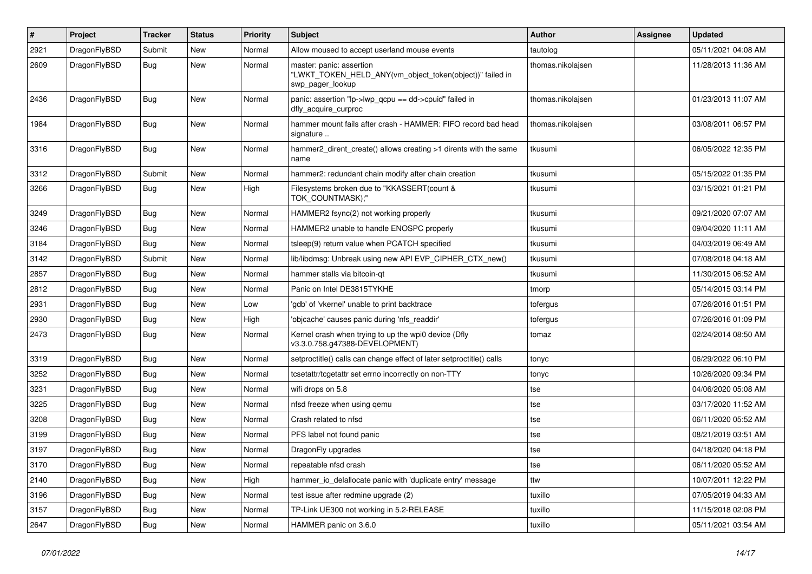| #    | Project      | <b>Tracker</b> | <b>Status</b> | <b>Priority</b> | Subject                                                                                                  | <b>Author</b>     | <b>Assignee</b> | <b>Updated</b>      |
|------|--------------|----------------|---------------|-----------------|----------------------------------------------------------------------------------------------------------|-------------------|-----------------|---------------------|
| 2921 | DragonFlyBSD | Submit         | <b>New</b>    | Normal          | Allow moused to accept userland mouse events                                                             | tautolog          |                 | 05/11/2021 04:08 AM |
| 2609 | DragonFlyBSD | Bug            | New           | Normal          | master: panic: assertion<br>"LWKT_TOKEN_HELD_ANY(vm_object_token(object))" failed in<br>swp_pager_lookup | thomas.nikolajsen |                 | 11/28/2013 11:36 AM |
| 2436 | DragonFlyBSD | <b>Bug</b>     | New           | Normal          | panic: assertion "lp->lwp_qcpu == dd->cpuid" failed in<br>dfly_acquire_curproc                           | thomas.nikolajsen |                 | 01/23/2013 11:07 AM |
| 1984 | DragonFlyBSD | Bug            | <b>New</b>    | Normal          | hammer mount fails after crash - HAMMER: FIFO record bad head<br>signature                               | thomas.nikolajsen |                 | 03/08/2011 06:57 PM |
| 3316 | DragonFlyBSD | Bug            | <b>New</b>    | Normal          | hammer2_dirent_create() allows creating >1 dirents with the same<br>name                                 | tkusumi           |                 | 06/05/2022 12:35 PM |
| 3312 | DragonFlyBSD | Submit         | New           | Normal          | hammer2: redundant chain modify after chain creation                                                     | tkusumi           |                 | 05/15/2022 01:35 PM |
| 3266 | DragonFlyBSD | Bug            | New           | High            | Filesystems broken due to "KKASSERT(count &<br>TOK_COUNTMASK);"                                          | tkusumi           |                 | 03/15/2021 01:21 PM |
| 3249 | DragonFlyBSD | <b>Bug</b>     | New           | Normal          | HAMMER2 fsync(2) not working properly                                                                    | tkusumi           |                 | 09/21/2020 07:07 AM |
| 3246 | DragonFlyBSD | <b>Bug</b>     | New           | Normal          | HAMMER2 unable to handle ENOSPC properly                                                                 | tkusumi           |                 | 09/04/2020 11:11 AM |
| 3184 | DragonFlyBSD | <b>Bug</b>     | New           | Normal          | tsleep(9) return value when PCATCH specified                                                             | tkusumi           |                 | 04/03/2019 06:49 AM |
| 3142 | DragonFlyBSD | Submit         | <b>New</b>    | Normal          | lib/libdmsg: Unbreak using new API EVP_CIPHER_CTX_new()                                                  | tkusumi           |                 | 07/08/2018 04:18 AM |
| 2857 | DragonFlyBSD | Bug            | <b>New</b>    | Normal          | hammer stalls via bitcoin-qt                                                                             | tkusumi           |                 | 11/30/2015 06:52 AM |
| 2812 | DragonFlyBSD | <b>Bug</b>     | New           | Normal          | Panic on Intel DE3815TYKHE                                                                               | tmorp             |                 | 05/14/2015 03:14 PM |
| 2931 | DragonFlyBSD | <b>Bug</b>     | New           | Low             | 'gdb' of 'vkernel' unable to print backtrace                                                             | tofergus          |                 | 07/26/2016 01:51 PM |
| 2930 | DragonFlyBSD | Bug            | <b>New</b>    | High            | 'objcache' causes panic during 'nfs_readdir'                                                             | tofergus          |                 | 07/26/2016 01:09 PM |
| 2473 | DragonFlyBSD | <b>Bug</b>     | New           | Normal          | Kernel crash when trying to up the wpi0 device (Dfly<br>v3.3.0.758.g47388-DEVELOPMENT)                   | tomaz             |                 | 02/24/2014 08:50 AM |
| 3319 | DragonFlyBSD | Bug            | New           | Normal          | setproctitle() calls can change effect of later setproctitle() calls                                     | tonyc             |                 | 06/29/2022 06:10 PM |
| 3252 | DragonFlyBSD | Bug            | <b>New</b>    | Normal          | tcsetattr/tcgetattr set errno incorrectly on non-TTY                                                     | tonyc             |                 | 10/26/2020 09:34 PM |
| 3231 | DragonFlyBSD | Bug            | <b>New</b>    | Normal          | wifi drops on 5.8                                                                                        | tse               |                 | 04/06/2020 05:08 AM |
| 3225 | DragonFlyBSD | <b>Bug</b>     | <b>New</b>    | Normal          | nfsd freeze when using qemu                                                                              | tse               |                 | 03/17/2020 11:52 AM |
| 3208 | DragonFlyBSD | <b>Bug</b>     | New           | Normal          | Crash related to nfsd                                                                                    | tse               |                 | 06/11/2020 05:52 AM |
| 3199 | DragonFlyBSD | <b>Bug</b>     | New           | Normal          | PFS label not found panic                                                                                | tse               |                 | 08/21/2019 03:51 AM |
| 3197 | DragonFlyBSD | <b>Bug</b>     | <b>New</b>    | Normal          | DragonFly upgrades                                                                                       | tse               |                 | 04/18/2020 04:18 PM |
| 3170 | DragonFlyBSD | <b>Bug</b>     | <b>New</b>    | Normal          | repeatable nfsd crash                                                                                    | tse               |                 | 06/11/2020 05:52 AM |
| 2140 | DragonFlyBSD | <b>Bug</b>     | New           | High            | hammer io delallocate panic with 'duplicate entry' message                                               | ttw               |                 | 10/07/2011 12:22 PM |
| 3196 | DragonFlyBSD | <b>Bug</b>     | <b>New</b>    | Normal          | test issue after redmine upgrade (2)                                                                     | tuxillo           |                 | 07/05/2019 04:33 AM |
| 3157 | DragonFlyBSD | <b>Bug</b>     | <b>New</b>    | Normal          | TP-Link UE300 not working in 5.2-RELEASE                                                                 | tuxillo           |                 | 11/15/2018 02:08 PM |
| 2647 | DragonFlyBSD | <b>Bug</b>     | New           | Normal          | HAMMER panic on 3.6.0                                                                                    | tuxillo           |                 | 05/11/2021 03:54 AM |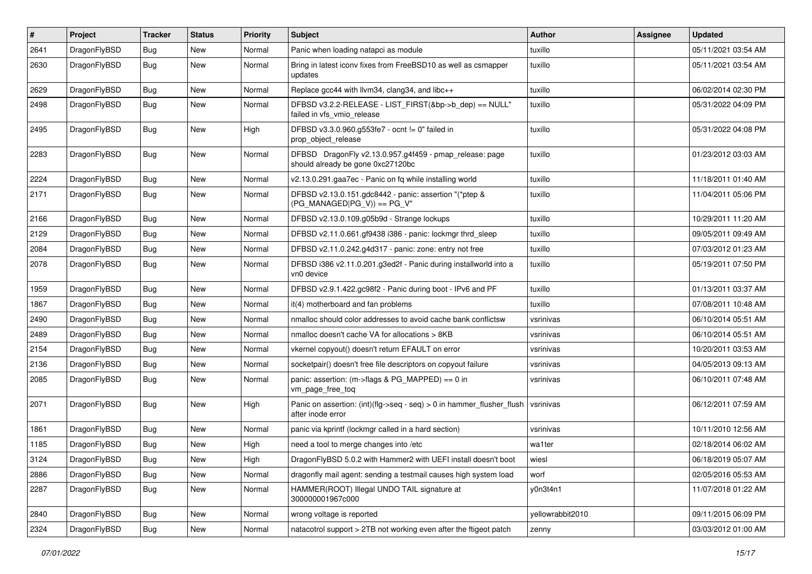| #    | Project      | <b>Tracker</b> | <b>Status</b> | <b>Priority</b> | Subject                                                                                      | <b>Author</b>    | Assignee | <b>Updated</b>      |
|------|--------------|----------------|---------------|-----------------|----------------------------------------------------------------------------------------------|------------------|----------|---------------------|
| 2641 | DragonFlyBSD | <b>Bug</b>     | <b>New</b>    | Normal          | Panic when loading natapci as module                                                         | tuxillo          |          | 05/11/2021 03:54 AM |
| 2630 | DragonFlyBSD | <b>Bug</b>     | <b>New</b>    | Normal          | Bring in latest iconv fixes from FreeBSD10 as well as csmapper<br>updates                    | tuxillo          |          | 05/11/2021 03:54 AM |
| 2629 | DragonFlyBSD | <b>Bug</b>     | New           | Normal          | Replace gcc44 with Ilvm34, clang34, and libc++                                               | tuxillo          |          | 06/02/2014 02:30 PM |
| 2498 | DragonFlyBSD | <b>Bug</b>     | New           | Normal          | DFBSD v3.2.2-RELEASE - LIST_FIRST(&bp->b_dep) == NULL"<br>failed in vfs vmio release         | tuxillo          |          | 05/31/2022 04:09 PM |
| 2495 | DragonFlyBSD | <b>Bug</b>     | New           | High            | DFBSD v3.3.0.960.g553fe7 - ocnt != 0" failed in<br>prop_object_release                       | tuxillo          |          | 05/31/2022 04:08 PM |
| 2283 | DragonFlyBSD | <b>Bug</b>     | New           | Normal          | DFBSD DragonFly v2.13.0.957.g4f459 - pmap_release: page<br>should already be gone 0xc27120bc | tuxillo          |          | 01/23/2012 03:03 AM |
| 2224 | DragonFlyBSD | Bug            | New           | Normal          | v2.13.0.291.gaa7ec - Panic on fq while installing world                                      | tuxillo          |          | 11/18/2011 01:40 AM |
| 2171 | DragonFlyBSD | Bug            | New           | Normal          | DFBSD v2.13.0.151.gdc8442 - panic: assertion "(*ptep &<br>$(PG_MANAGED PG_V)$ == PG_V"       | tuxillo          |          | 11/04/2011 05:06 PM |
| 2166 | DragonFlyBSD | <b>Bug</b>     | <b>New</b>    | Normal          | DFBSD v2.13.0.109.g05b9d - Strange lockups                                                   | tuxillo          |          | 10/29/2011 11:20 AM |
| 2129 | DragonFlyBSD | <b>Bug</b>     | New           | Normal          | DFBSD v2.11.0.661.gf9438 i386 - panic: lockmgr thrd sleep                                    | tuxillo          |          | 09/05/2011 09:49 AM |
| 2084 | DragonFlyBSD | <b>Bug</b>     | New           | Normal          | DFBSD v2.11.0.242.g4d317 - panic: zone: entry not free                                       | tuxillo          |          | 07/03/2012 01:23 AM |
| 2078 | DragonFlyBSD | <b>Bug</b>     | <b>New</b>    | Normal          | DFBSD i386 v2.11.0.201.g3ed2f - Panic during installworld into a<br>vn0 device               | tuxillo          |          | 05/19/2011 07:50 PM |
| 1959 | DragonFlyBSD | <b>Bug</b>     | New           | Normal          | DFBSD v2.9.1.422.gc98f2 - Panic during boot - IPv6 and PF                                    | tuxillo          |          | 01/13/2011 03:37 AM |
| 1867 | DragonFlyBSD | <b>Bug</b>     | New           | Normal          | it(4) motherboard and fan problems                                                           | tuxillo          |          | 07/08/2011 10:48 AM |
| 2490 | DragonFlyBSD | <b>Bug</b>     | New           | Normal          | nmalloc should color addresses to avoid cache bank conflictsw                                | vsrinivas        |          | 06/10/2014 05:51 AM |
| 2489 | DragonFlyBSD | <b>Bug</b>     | New           | Normal          | nmalloc doesn't cache VA for allocations > 8KB                                               | vsrinivas        |          | 06/10/2014 05:51 AM |
| 2154 | DragonFlyBSD | <b>Bug</b>     | New           | Normal          | vkernel copyout() doesn't return EFAULT on error                                             | vsrinivas        |          | 10/20/2011 03:53 AM |
| 2136 | DragonFlyBSD | <b>Bug</b>     | New           | Normal          | socketpair() doesn't free file descriptors on copyout failure                                | vsrinivas        |          | 04/05/2013 09:13 AM |
| 2085 | DragonFlyBSD | <b>Bug</b>     | New           | Normal          | panic: assertion: (m->flags & PG_MAPPED) == 0 in<br>vm_page_free_toq                         | vsrinivas        |          | 06/10/2011 07:48 AM |
| 2071 | DragonFlyBSD | Bug            | <b>New</b>    | High            | Panic on assertion: (int)(flg->seq - seq) > 0 in hammer_flusher_flush<br>after inode error   | vsrinivas        |          | 06/12/2011 07:59 AM |
| 1861 | DragonFlyBSD | Bug            | <b>New</b>    | Normal          | panic via kprintf (lockmgr called in a hard section)                                         | vsrinivas        |          | 10/11/2010 12:56 AM |
| 1185 | DragonFlyBSD | <b>Bug</b>     | New           | High            | need a tool to merge changes into /etc                                                       | wa1ter           |          | 02/18/2014 06:02 AM |
| 3124 | DragonFlyBSD | <b>Bug</b>     | New           | High            | DragonFlyBSD 5.0.2 with Hammer2 with UEFI install doesn't boot                               | wiesl            |          | 06/18/2019 05:07 AM |
| 2886 | DragonFlyBSD | Bug            | New           | Normal          | dragonfly mail agent: sending a testmail causes high system load                             | worf             |          | 02/05/2016 05:53 AM |
| 2287 | DragonFlyBSD | <b>Bug</b>     | New           | Normal          | HAMMER(ROOT) Illegal UNDO TAIL signature at<br>300000001967c000                              | y0n3t4n1         |          | 11/07/2018 01:22 AM |
| 2840 | DragonFlyBSD | <b>Bug</b>     | New           | Normal          | wrong voltage is reported                                                                    | yellowrabbit2010 |          | 09/11/2015 06:09 PM |
| 2324 | DragonFlyBSD | <b>Bug</b>     | New           | Normal          | natacotrol support > 2TB not working even after the ftigeot patch                            | zenny            |          | 03/03/2012 01:00 AM |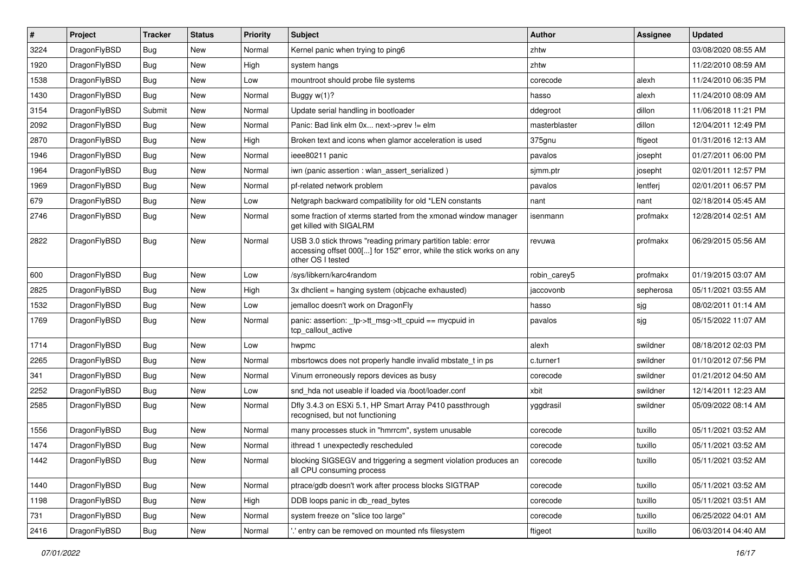| #    | Project      | <b>Tracker</b> | <b>Status</b> | <b>Priority</b> | Subject                                                                                                                                                  | <b>Author</b> | <b>Assignee</b> | <b>Updated</b>      |
|------|--------------|----------------|---------------|-----------------|----------------------------------------------------------------------------------------------------------------------------------------------------------|---------------|-----------------|---------------------|
| 3224 | DragonFlyBSD | <b>Bug</b>     | New           | Normal          | Kernel panic when trying to ping6                                                                                                                        | zhtw          |                 | 03/08/2020 08:55 AM |
| 1920 | DragonFlyBSD | <b>Bug</b>     | New           | High            | system hangs                                                                                                                                             | zhtw          |                 | 11/22/2010 08:59 AM |
| 1538 | DragonFlyBSD | Bug            | New           | Low             | mountroot should probe file systems                                                                                                                      | corecode      | alexh           | 11/24/2010 06:35 PM |
| 1430 | DragonFlyBSD | <b>Bug</b>     | New           | Normal          | Buggy w(1)?                                                                                                                                              | hasso         | alexh           | 11/24/2010 08:09 AM |
| 3154 | DragonFlyBSD | Submit         | New           | Normal          | Update serial handling in bootloader                                                                                                                     | ddegroot      | dillon          | 11/06/2018 11:21 PM |
| 2092 | DragonFlyBSD | <b>Bug</b>     | New           | Normal          | Panic: Bad link elm 0x next->prev != elm                                                                                                                 | masterblaster | dillon          | 12/04/2011 12:49 PM |
| 2870 | DragonFlyBSD | <b>Bug</b>     | New           | High            | Broken text and icons when glamor acceleration is used                                                                                                   | 375gnu        | ftigeot         | 01/31/2016 12:13 AM |
| 1946 | DragonFlyBSD | <b>Bug</b>     | New           | Normal          | ieee80211 panic                                                                                                                                          | pavalos       | josepht         | 01/27/2011 06:00 PM |
| 1964 | DragonFlyBSD | <b>Bug</b>     | New           | Normal          | iwn (panic assertion : wlan assert serialized)                                                                                                           | sjmm.ptr      | josepht         | 02/01/2011 12:57 PM |
| 1969 | DragonFlyBSD | Bug            | New           | Normal          | pf-related network problem                                                                                                                               | pavalos       | lentferj        | 02/01/2011 06:57 PM |
| 679  | DragonFlyBSD | <b>Bug</b>     | New           | Low             | Netgraph backward compatibility for old *LEN constants                                                                                                   | nant          | nant            | 02/18/2014 05:45 AM |
| 2746 | DragonFlyBSD | <b>Bug</b>     | <b>New</b>    | Normal          | some fraction of xterms started from the xmonad window manager<br>get killed with SIGALRM                                                                | isenmann      | profmakx        | 12/28/2014 02:51 AM |
| 2822 | DragonFlyBSD | Bug            | New           | Normal          | USB 3.0 stick throws "reading primary partition table: error<br>accessing offset 000[] for 152" error, while the stick works on any<br>other OS I tested | revuwa        | profmakx        | 06/29/2015 05:56 AM |
| 600  | DragonFlyBSD | Bug            | <b>New</b>    | Low             | /sys/libkern/karc4random                                                                                                                                 | robin_carey5  | profmakx        | 01/19/2015 03:07 AM |
| 2825 | DragonFlyBSD | Bug            | <b>New</b>    | High            | 3x dhclient = hanging system (objcache exhausted)                                                                                                        | jaccovonb     | sepherosa       | 05/11/2021 03:55 AM |
| 1532 | DragonFlyBSD | <b>Bug</b>     | New           | Low             | jemalloc doesn't work on DragonFly                                                                                                                       | hasso         | sjg             | 08/02/2011 01:14 AM |
| 1769 | DragonFlyBSD | <b>Bug</b>     | New           | Normal          | panic: assertion: _tp->tt_msg->tt_cpuid == mycpuid in<br>tcp_callout_active                                                                              | pavalos       | sjg             | 05/15/2022 11:07 AM |
| 1714 | DragonFlyBSD | Bug            | New           | Low             | hwpmc                                                                                                                                                    | alexh         | swildner        | 08/18/2012 02:03 PM |
| 2265 | DragonFlyBSD | <b>Bug</b>     | <b>New</b>    | Normal          | mbsrtowcs does not properly handle invalid mbstate_t in ps                                                                                               | c.turner1     | swildner        | 01/10/2012 07:56 PM |
| 341  | DragonFlyBSD | <b>Bug</b>     | New           | Normal          | Vinum erroneously repors devices as busy                                                                                                                 | corecode      | swildner        | 01/21/2012 04:50 AM |
| 2252 | DragonFlyBSD | <b>Bug</b>     | New           | Low             | snd hda not useable if loaded via /boot/loader.conf                                                                                                      | xbit          | swildner        | 12/14/2011 12:23 AM |
| 2585 | DragonFlyBSD | Bug            | New           | Normal          | Dfly 3.4.3 on ESXi 5.1, HP Smart Array P410 passthrough<br>recognised, but not functioning                                                               | yggdrasil     | swildner        | 05/09/2022 08:14 AM |
| 1556 | DragonFlyBSD | <b>Bug</b>     | <b>New</b>    | Normal          | many processes stuck in "hmrrcm", system unusable                                                                                                        | corecode      | tuxillo         | 05/11/2021 03:52 AM |
| 1474 | DragonFlyBSD | <b>Bug</b>     | New           | Normal          | ithread 1 unexpectedly rescheduled                                                                                                                       | corecode      | tuxillo         | 05/11/2021 03:52 AM |
| 1442 | DragonFlyBSD | <b>Bug</b>     | New           | Normal          | blocking SIGSEGV and triggering a segment violation produces an<br>all CPU consuming process                                                             | corecode      | tuxillo         | 05/11/2021 03:52 AM |
| 1440 | DragonFlyBSD | <b>Bug</b>     | <b>New</b>    | Normal          | ptrace/gdb doesn't work after process blocks SIGTRAP                                                                                                     | corecode      | tuxillo         | 05/11/2021 03:52 AM |
| 1198 | DragonFlyBSD | <b>Bug</b>     | New           | High            | DDB loops panic in db_read_bytes                                                                                                                         | corecode      | tuxillo         | 05/11/2021 03:51 AM |
| 731  | DragonFlyBSD | Bug            | New           | Normal          | system freeze on "slice too large"                                                                                                                       | corecode      | tuxillo         | 06/25/2022 04:01 AM |
| 2416 | DragonFlyBSD | <b>Bug</b>     | New           | Normal          | ".' entry can be removed on mounted nfs filesystem                                                                                                       | ftigeot       | tuxillo         | 06/03/2014 04:40 AM |